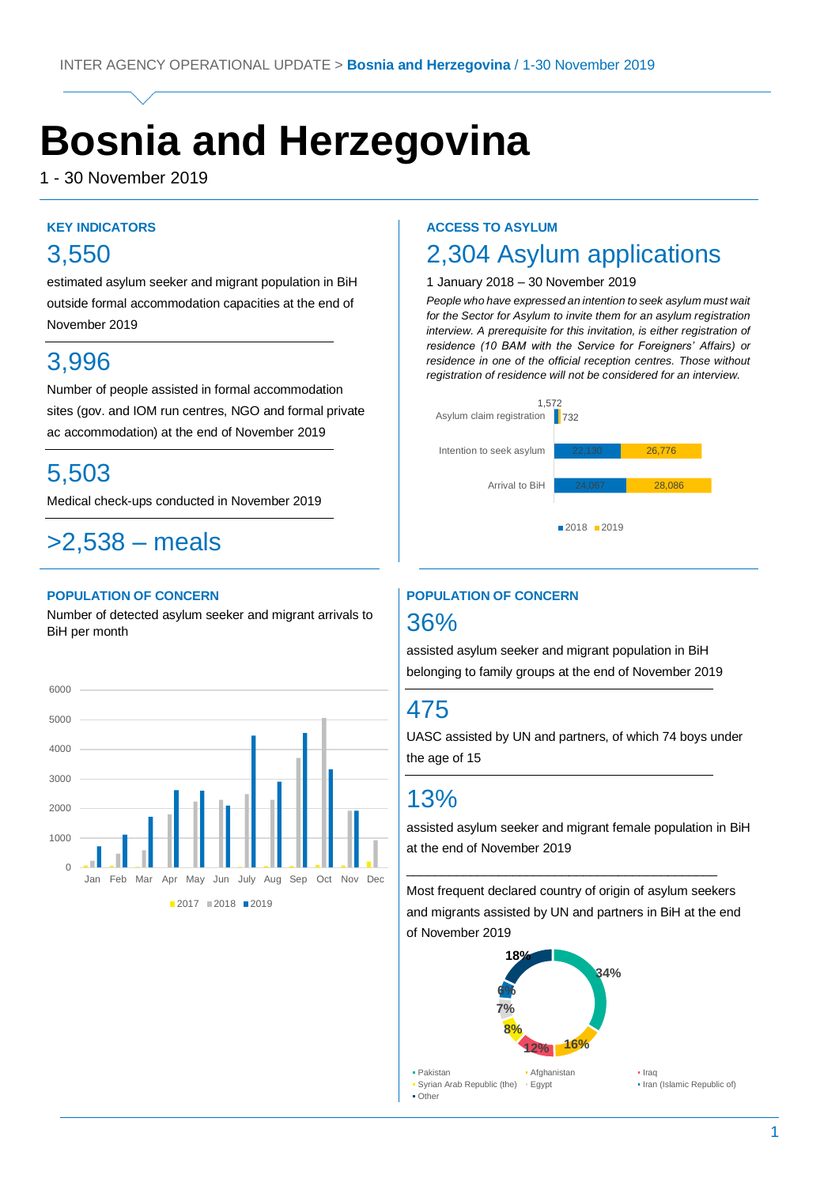# **Bosnia and Herzegovina**

1 - 30 November 2019

#### **KEY INDICATORS**

# 3,550

estimated asylum seeker and migrant population in BiH outside formal accommodation capacities at the end of November 2019

## 3,996

Number of people assisted in formal accommodation sites (gov. and IOM run centres, NGO and formal private ac accommodation) at the end of November 2019

## 5,503

Medical check-ups conducted in November 2019

Medical check-ups conducted in August 2019

# >2,538 – meals

#### **POPULATION OF CONCERN**

Number of detected asylum seeker and migrant arrivals to BiH per month



#### **ACCESS TO ASYLUM**

### 2,304 Asylum applications

#### 1 January 2018 – 30 November 2019

*People who have expressed an intention to seek asylum must wait for the Sector for Asylum to invite them for an asylum registration interview. A prerequisite for this invitation, is either registration of residence (10 BAM with the Service for Foreigners' Affairs) or residence in one of the official reception centres. Those without registration of residence will not be considered for an interview.*



### **POPULATION OF CONCERN** 36%

assisted asylum seeker and migrant population in BiH belonging to family groups at the end of November 2019

# 475

UASC assisted by UN and partners, of which 74 boys under the age of 15

### 13%

assisted asylum seeker and migrant female population in BiH at the end of November 2019

Most frequent declared country of origin of asylum seekers and migrants assisted by UN and partners in BiH at the end of November 2019

\_\_\_\_\_\_\_\_\_\_\_\_\_\_\_\_\_\_\_\_\_\_\_\_\_\_\_\_\_\_\_\_\_\_\_\_\_\_\_\_\_\_\_\_

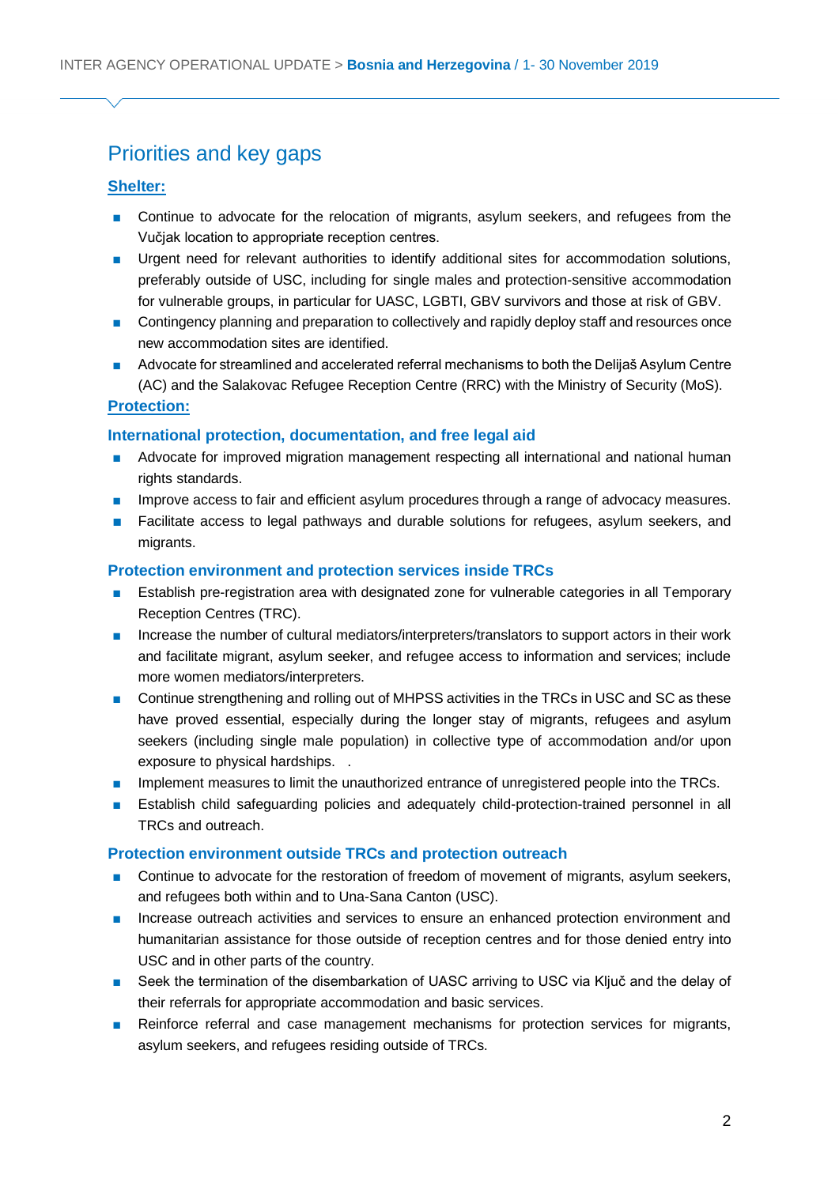### Priorities and key gaps

#### **Shelter:**

- Continue to advocate for the relocation of migrants, asylum seekers, and refugees from the Vučjak location to appropriate reception centres.
- Urgent need for relevant authorities to identify additional sites for accommodation solutions, preferably outside of USC, including for single males and protection-sensitive accommodation for vulnerable groups, in particular for UASC, LGBTI, GBV survivors and those at risk of GBV.
- Contingency planning and preparation to collectively and rapidly deploy staff and resources once new accommodation sites are identified.
- Advocate for streamlined and accelerated referral mechanisms to both the Delijaš Asylum Centre (AC) and the Salakovac Refugee Reception Centre (RRC) with the Ministry of Security (MoS).

#### **Protection:**

#### **International protection, documentation, and free legal aid**

- Advocate for improved migration management respecting all international and national human rights standards.
- Improve access to fair and efficient asylum procedures through a range of advocacy measures.
- Facilitate access to legal pathways and durable solutions for refugees, asylum seekers, and migrants.

#### **Protection environment and protection services inside TRCs**

- Establish pre-registration area with designated zone for vulnerable categories in all Temporary Reception Centres (TRC).
- Increase the number of cultural mediators/interpreters/translators to support actors in their work and facilitate migrant, asylum seeker, and refugee access to information and services; include more women mediators/interpreters.
- Continue strengthening and rolling out of MHPSS activities in the TRCs in USC and SC as these have proved essential, especially during the longer stay of migrants, refugees and asylum seekers (including single male population) in collective type of accommodation and/or upon exposure to physical hardships. .
- **■** Implement measures to limit the unauthorized entrance of unregistered people into the TRCs.
- Establish child safeguarding policies and adequately child-protection-trained personnel in all TRCs and outreach.

#### **Protection environment outside TRCs and protection outreach**

- Continue to advocate for the restoration of freedom of movement of migrants, asylum seekers, and refugees both within and to Una-Sana Canton (USC).
- Increase outreach activities and services to ensure an enhanced protection environment and humanitarian assistance for those outside of reception centres and for those denied entry into USC and in other parts of the country.
- Seek the termination of the disembarkation of UASC arriving to USC via Ključ and the delay of their referrals for appropriate accommodation and basic services.
- Reinforce referral and case management mechanisms for protection services for migrants, asylum seekers, and refugees residing outside of TRCs.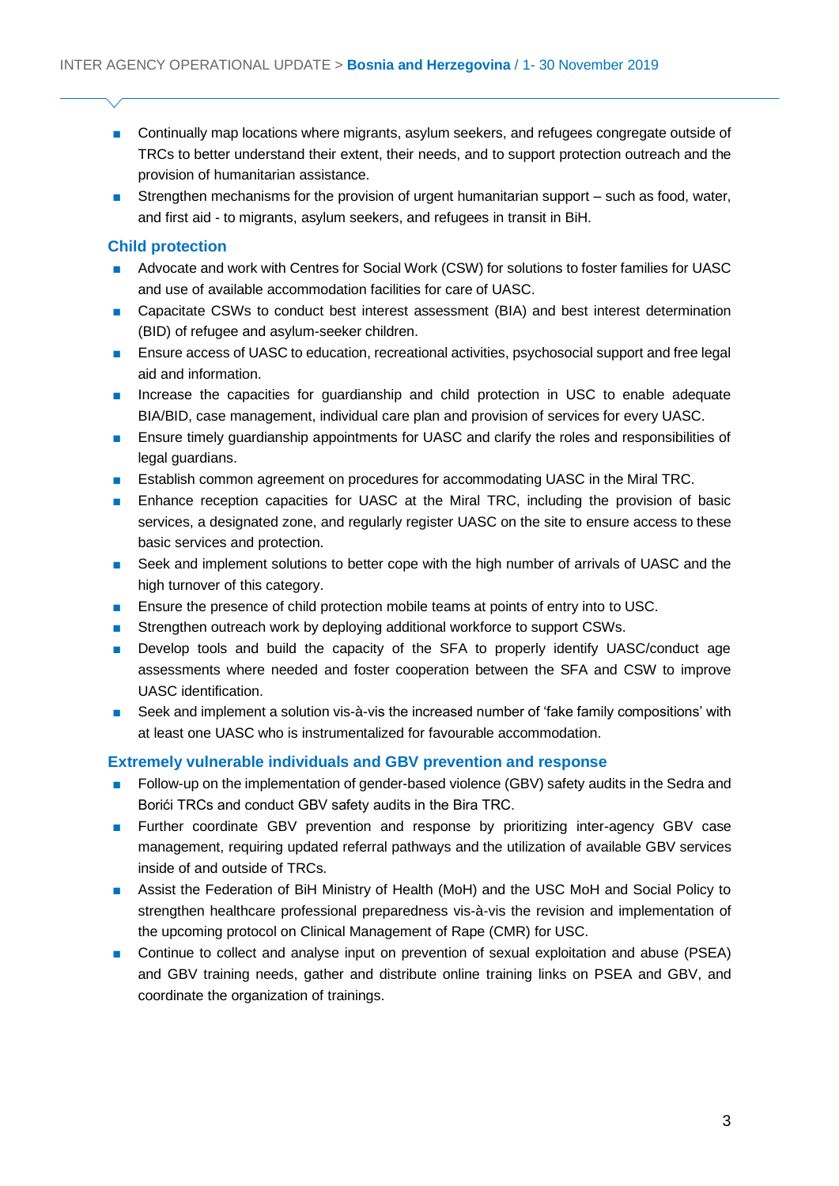- Continually map locations where migrants, asylum seekers, and refugees congregate outside of TRCs to better understand their extent, their needs, and to support protection outreach and the provision of humanitarian assistance.
- Strengthen mechanisms for the provision of urgent humanitarian support such as food, water, and first aid - to migrants, asylum seekers, and refugees in transit in BiH.

#### **Child protection**

- Advocate and work with Centres for Social Work (CSW) for solutions to foster families for UASC and use of available accommodation facilities for care of UASC.
- Capacitate CSWs to conduct best interest assessment (BIA) and best interest determination (BID) of refugee and asylum-seeker children.
- Ensure access of UASC to education, recreational activities, psychosocial support and free legal aid and information.
- Increase the capacities for quardianship and child protection in USC to enable adequate BIA/BID, case management, individual care plan and provision of services for every UASC.
- Ensure timely guardianship appointments for UASC and clarify the roles and responsibilities of legal guardians.
- Establish common agreement on procedures for accommodating UASC in the Miral TRC.
- Enhance reception capacities for UASC at the Miral TRC, including the provision of basic services, a designated zone, and regularly register UASC on the site to ensure access to these basic services and protection.
- Seek and implement solutions to better cope with the high number of arrivals of UASC and the high turnover of this category.
- Ensure the presence of child protection mobile teams at points of entry into to USC.
- Strengthen outreach work by deploying additional workforce to support CSWs.
- Develop tools and build the capacity of the SFA to properly identify UASC/conduct age assessments where needed and foster cooperation between the SFA and CSW to improve UASC identification.
- Seek and implement a solution vis-à-vis the increased number of 'fake family compositions' with at least one UASC who is instrumentalized for favourable accommodation.

#### **Extremely vulnerable individuals and GBV prevention and response**

- Follow-up on the implementation of gender-based violence (GBV) safety audits in the Sedra and Borići TRCs and conduct GBV safety audits in the Bira TRC.
- Further coordinate GBV prevention and response by prioritizing inter-agency GBV case management, requiring updated referral pathways and the utilization of available GBV services inside of and outside of TRCs.
- Assist the Federation of BiH Ministry of Health (MoH) and the USC MoH and Social Policy to strengthen healthcare professional preparedness vis-à-vis the revision and implementation of the upcoming protocol on Clinical Management of Rape (CMR) for USC.
- Continue to collect and analyse input on prevention of sexual exploitation and abuse (PSEA) and GBV training needs, gather and distribute online training links on PSEA and GBV, and coordinate the organization of trainings.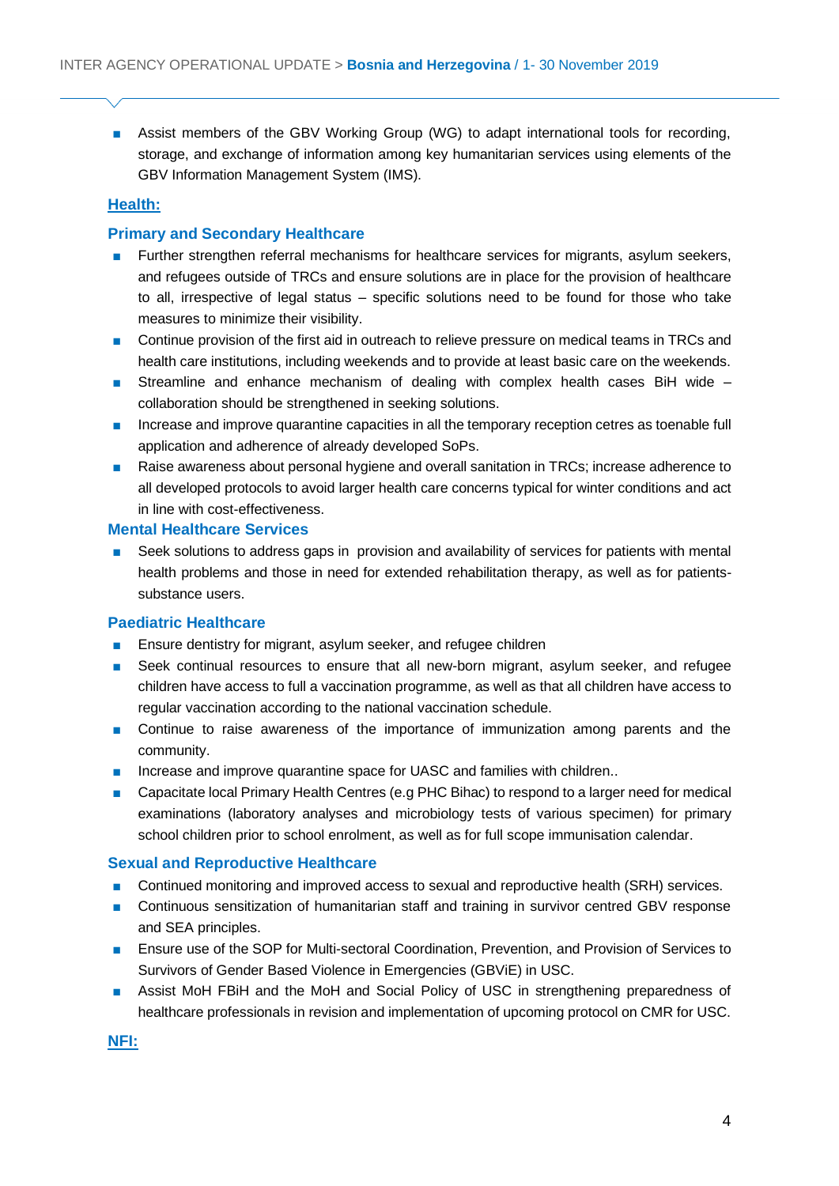■ Assist members of the GBV Working Group (WG) to adapt international tools for recording, storage, and exchange of information among key humanitarian services using elements of the GBV Information Management System (IMS).

#### **Health:**

#### **Primary and Secondary Healthcare**

- Further strengthen referral mechanisms for healthcare services for migrants, asylum seekers, and refugees outside of TRCs and ensure solutions are in place for the provision of healthcare to all, irrespective of legal status – specific solutions need to be found for those who take measures to minimize their visibility.
- Continue provision of the first aid in outreach to relieve pressure on medical teams in TRCs and health care institutions, including weekends and to provide at least basic care on the weekends.
- Streamline and enhance mechanism of dealing with complex health cases BiH wide collaboration should be strengthened in seeking solutions.
- Increase and improve quarantine capacities in all the temporary reception cetres as toenable full application and adherence of already developed SoPs.
- Raise awareness about personal hygiene and overall sanitation in TRCs; increase adherence to all developed protocols to avoid larger health care concerns typical for winter conditions and act in line with cost-effectiveness.

#### **Mental Healthcare Services**

■ Seek solutions to address gaps in provision and availability of services for patients with mental health problems and those in need for extended rehabilitation therapy, as well as for patientssubstance users.

#### **Paediatric Healthcare**

- Ensure dentistry for migrant, asylum seeker, and refugee children
- Seek continual resources to ensure that all new-born migrant, asylum seeker, and refugee children have access to full a vaccination programme, as well as that all children have access to regular vaccination according to the national vaccination schedule.
- Continue to raise awareness of the importance of immunization among parents and the community.
- Increase and improve quarantine space for UASC and families with children..
- Capacitate local Primary Health Centres (e.g PHC Bihac) to respond to a larger need for medical examinations (laboratory analyses and microbiology tests of various specimen) for primary school children prior to school enrolment, as well as for full scope immunisation calendar.

#### **Sexual and Reproductive Healthcare**

- Continued monitoring and improved access to sexual and reproductive health (SRH) services.
- Continuous sensitization of humanitarian staff and training in survivor centred GBV response and SEA principles.
- Ensure use of the SOP for Multi-sectoral Coordination, Prevention, and Provision of Services to Survivors of Gender Based Violence in Emergencies (GBViE) in USC.
- Assist MoH FBiH and the MoH and Social Policy of USC in strengthening preparedness of healthcare professionals in revision and implementation of upcoming protocol on CMR for USC.

**NFI:**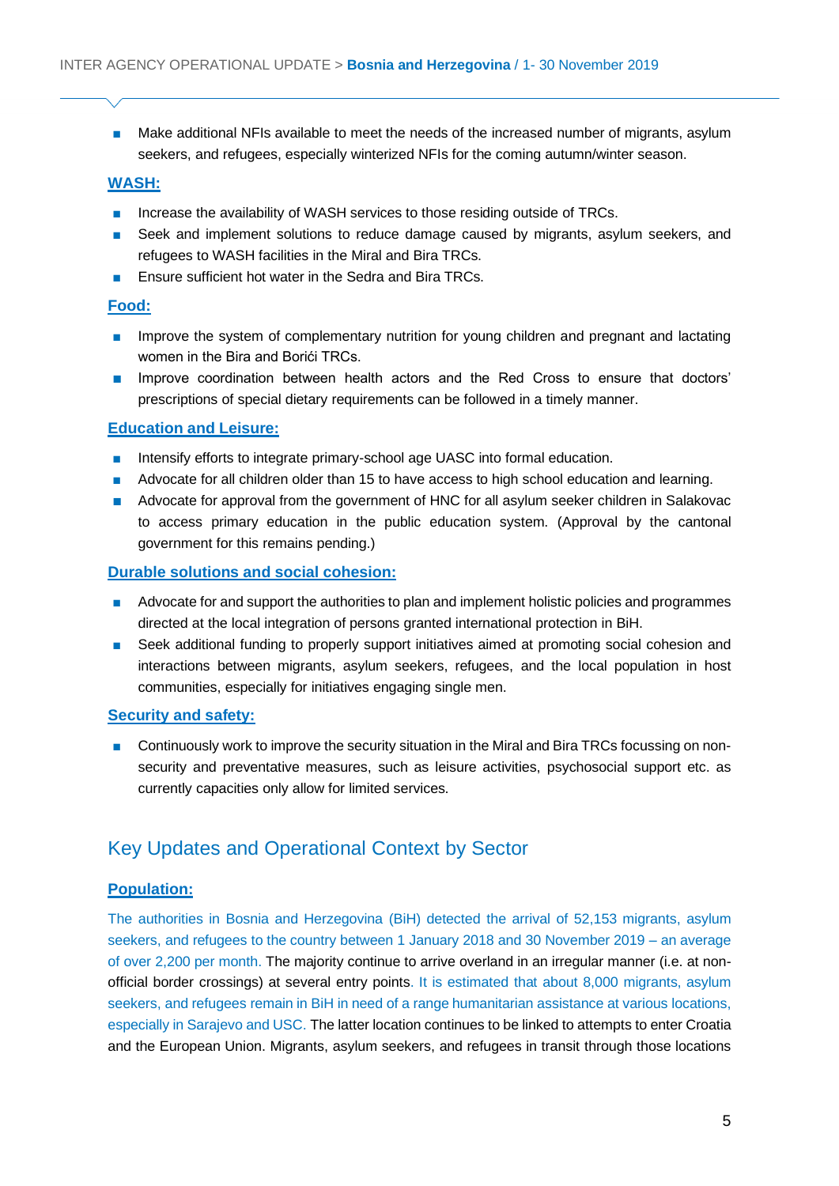■ Make additional NFIs available to meet the needs of the increased number of migrants, asylum seekers, and refugees, especially winterized NFIs for the coming autumn/winter season.

#### **WASH:**

- Increase the availability of WASH services to those residing outside of TRCs.
- Seek and implement solutions to reduce damage caused by migrants, asylum seekers, and refugees to WASH facilities in the Miral and Bira TRCs.
- Ensure sufficient hot water in the Sedra and Bira TRCs.

#### **Food:**

- Improve the system of complementary nutrition for young children and pregnant and lactating women in the Bira and Borići TRCs.
- Improve coordination between health actors and the Red Cross to ensure that doctors' prescriptions of special dietary requirements can be followed in a timely manner.

#### **Education and Leisure:**

- Intensify efforts to integrate primary-school age UASC into formal education.
- Advocate for all children older than 15 to have access to high school education and learning.
- Advocate for approval from the government of HNC for all asylum seeker children in Salakovac to access primary education in the public education system. (Approval by the cantonal government for this remains pending.)

#### **Durable solutions and social cohesion:**

- Advocate for and support the authorities to plan and implement holistic policies and programmes directed at the local integration of persons granted international protection in BiH.
- Seek additional funding to properly support initiatives aimed at promoting social cohesion and interactions between migrants, asylum seekers, refugees, and the local population in host communities, especially for initiatives engaging single men.

#### **Security and safety:**

■ Continuously work to improve the security situation in the Miral and Bira TRCs focussing on nonsecurity and preventative measures, such as leisure activities, psychosocial support etc. as currently capacities only allow for limited services.

### Key Updates and Operational Context by Sector

#### **Population:**

The authorities in Bosnia and Herzegovina (BiH) detected the arrival of 52,153 migrants, asylum seekers, and refugees to the country between 1 January 2018 and 30 November 2019 – an average of over 2,200 per month. The majority continue to arrive overland in an irregular manner (i.e. at nonofficial border crossings) at several entry points. It is estimated that about 8,000 migrants, asylum seekers, and refugees remain in BiH in need of a range humanitarian assistance at various locations, especially in Sarajevo and USC. The latter location continues to be linked to attempts to enter Croatia and the European Union. Migrants, asylum seekers, and refugees in transit through those locations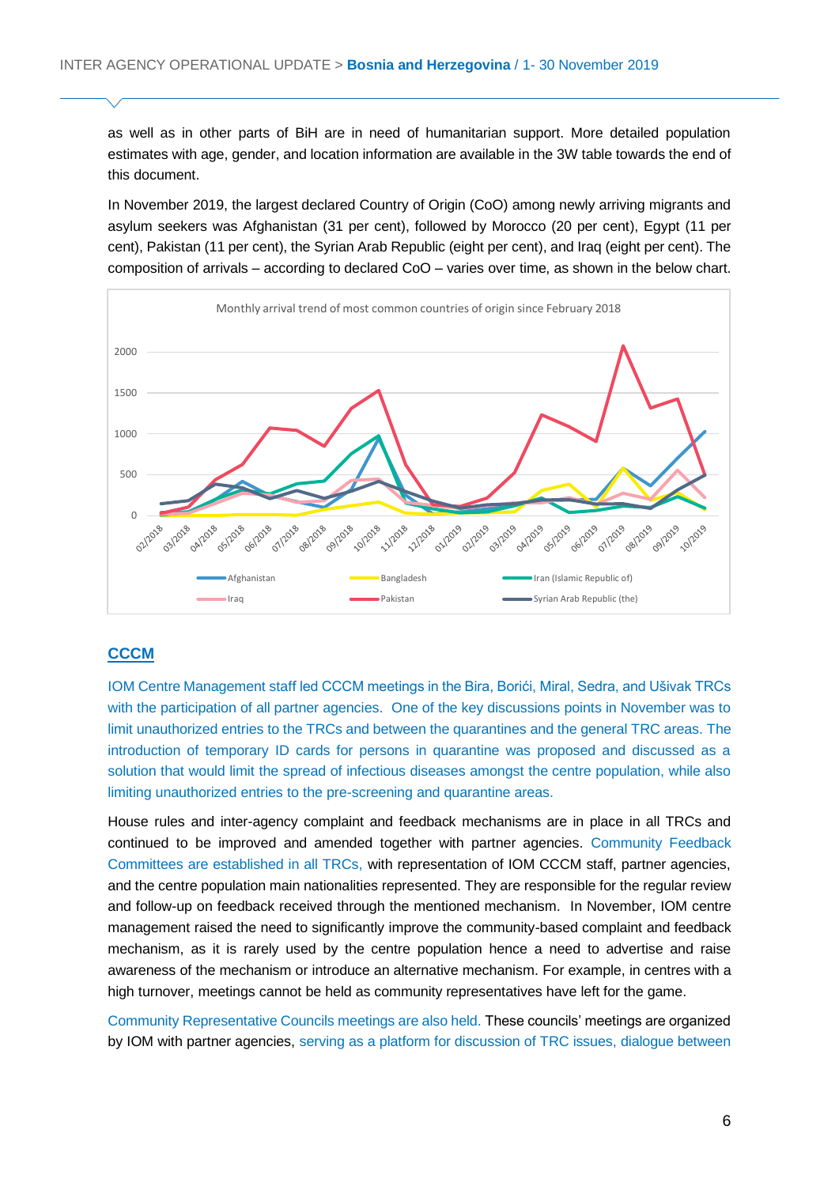as well as in other parts of BiH are in need of humanitarian support. More detailed population estimates with age, gender, and location information are available in the 3W table towards the end of this document.

In November 2019, the largest declared Country of Origin (CoO) among newly arriving migrants and asylum seekers was Afghanistan (31 per cent), followed by Morocco (20 per cent), Egypt (11 per cent), Pakistan (11 per cent), the Syrian Arab Republic (eight per cent), and Iraq (eight per cent). The composition of arrivals – according to declared CoO – varies over time, as shown in the below chart.



#### **CCCM**

IOM Centre Management staff led CCCM meetings in the Bira, Borići, Miral, Sedra, and Ušivak TRCs with the participation of all partner agencies. One of the key discussions points in November was to limit unauthorized entries to the TRCs and between the quarantines and the general TRC areas. The introduction of temporary ID cards for persons in quarantine was proposed and discussed as a solution that would limit the spread of infectious diseases amongst the centre population, while also limiting unauthorized entries to the pre-screening and quarantine areas.

House rules and inter-agency complaint and feedback mechanisms are in place in all TRCs and continued to be improved and amended together with partner agencies. Community Feedback Committees are established in all TRCs, with representation of IOM CCCM staff, partner agencies, and the centre population main nationalities represented. They are responsible for the regular review and follow-up on feedback received through the mentioned mechanism. In November, IOM centre management raised the need to significantly improve the community-based complaint and feedback mechanism, as it is rarely used by the centre population hence a need to advertise and raise awareness of the mechanism or introduce an alternative mechanism. For example, in centres with a high turnover, meetings cannot be held as community representatives have left for the game.

Community Representative Councils meetings are also held. These councils' meetings are organized by IOM with partner agencies, serving as a platform for discussion of TRC issues, dialogue between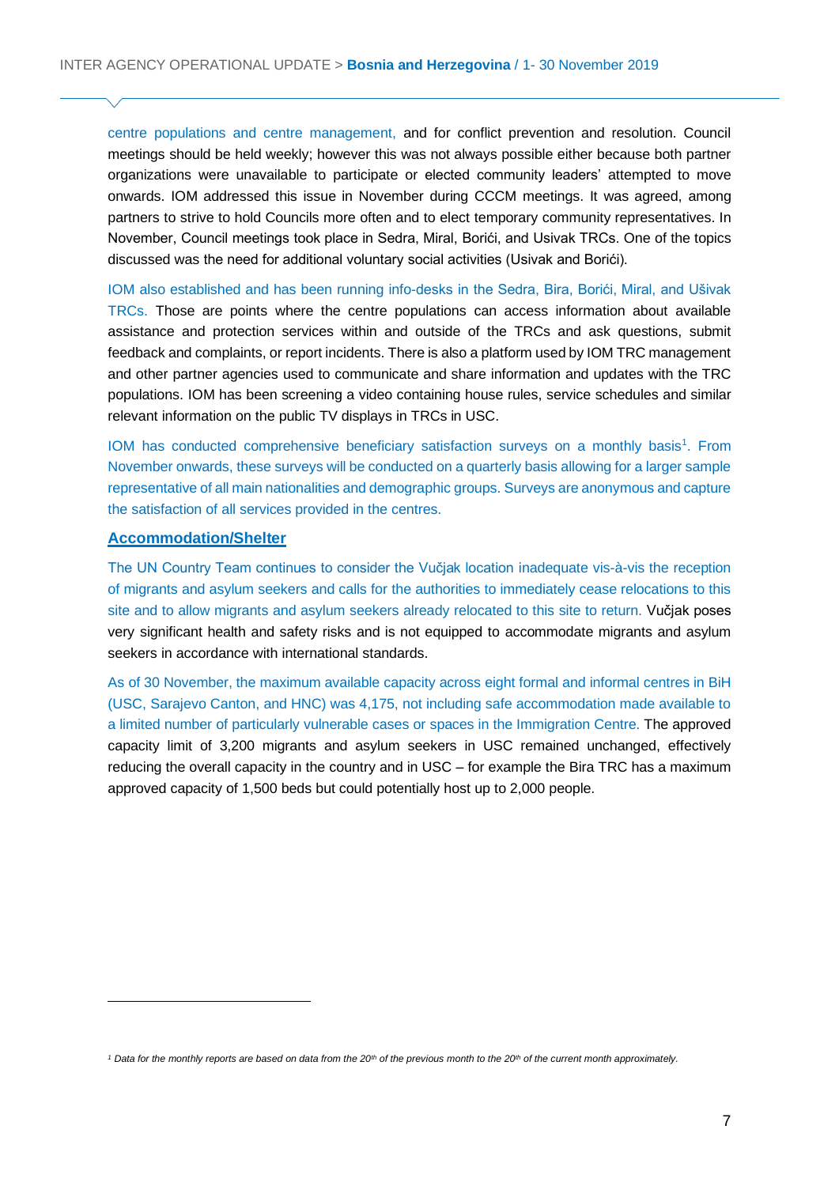centre populations and centre management, and for conflict prevention and resolution. Council meetings should be held weekly; however this was not always possible either because both partner organizations were unavailable to participate or elected community leaders' attempted to move onwards. IOM addressed this issue in November during CCCM meetings. It was agreed, among partners to strive to hold Councils more often and to elect temporary community representatives. In November, Council meetings took place in Sedra, Miral, Borići, and Usivak TRCs. One of the topics discussed was the need for additional voluntary social activities (Usivak and Borići).

IOM also established and has been running info-desks in the Sedra, Bira, Borići, Miral, and Ušivak TRCs. Those are points where the centre populations can access information about available assistance and protection services within and outside of the TRCs and ask questions, submit feedback and complaints, or report incidents. There is also a platform used by IOM TRC management and other partner agencies used to communicate and share information and updates with the TRC populations. IOM has been screening a video containing house rules, service schedules and similar relevant information on the public TV displays in TRCs in USC.

IOM has conducted comprehensive beneficiary satisfaction surveys on a monthly basis<sup>1</sup>. From November onwards, these surveys will be conducted on a quarterly basis allowing for a larger sample representative of all main nationalities and demographic groups. Surveys are anonymous and capture the satisfaction of all services provided in the centres.

#### **Accommodation/Shelter**

The UN Country Team continues to consider the Vučjak location inadequate vis-à-vis the reception of migrants and asylum seekers and calls for the authorities to immediately cease relocations to this site and to allow migrants and asylum seekers already relocated to this site to return. Vučjak poses very significant health and safety risks and is not equipped to accommodate migrants and asylum seekers in accordance with international standards.

As of 30 November, the maximum available capacity across eight formal and informal centres in BiH (USC, Sarajevo Canton, and HNC) was 4,175, not including safe accommodation made available to a limited number of particularly vulnerable cases or spaces in the Immigration Centre. The approved capacity limit of 3,200 migrants and asylum seekers in USC remained unchanged, effectively reducing the overall capacity in the country and in USC – for example the Bira TRC has a maximum approved capacity of 1,500 beds but could potentially host up to 2,000 people.

*<sup>1</sup> Data for the monthly reports are based on data from the 20th of the previous month to the 20th of the current month approximately.*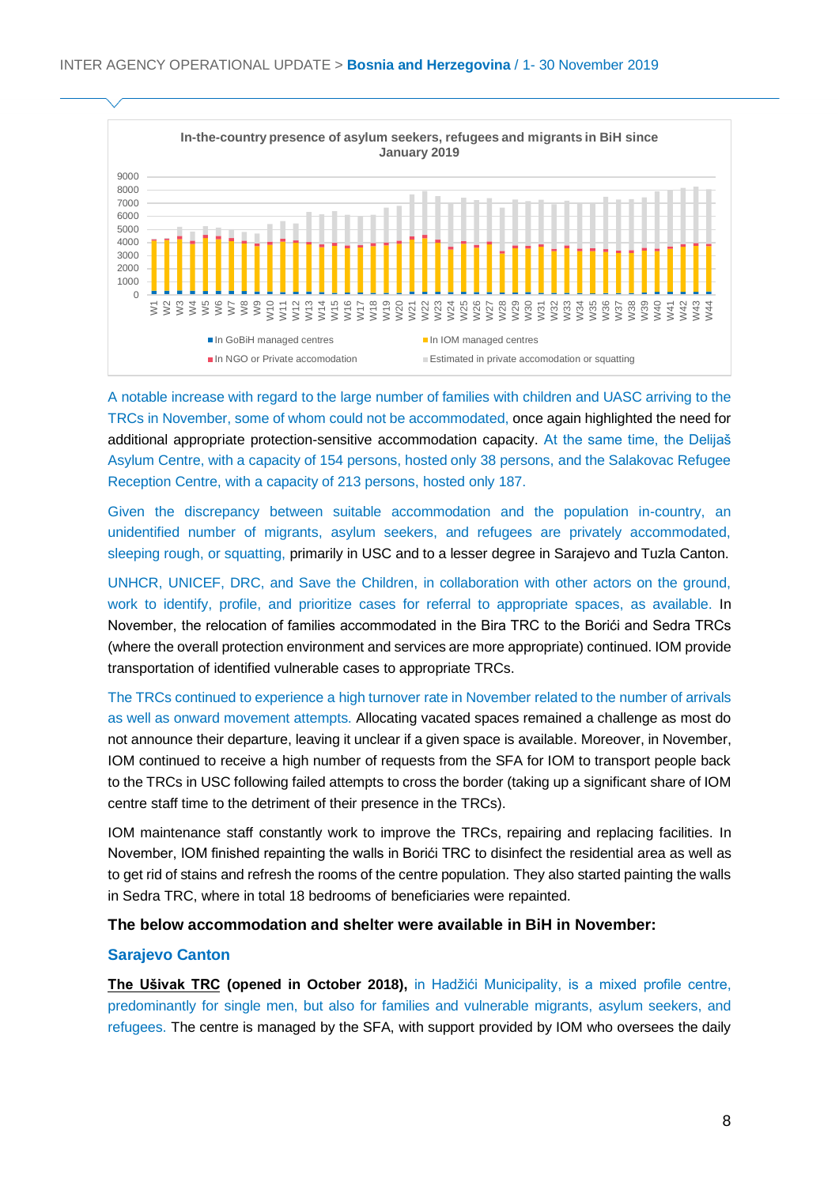

A notable increase with regard to the large number of families with children and UASC arriving to the TRCs in November, some of whom could not be accommodated, once again highlighted the need for additional appropriate protection-sensitive accommodation capacity. At the same time, the Delijaš Asylum Centre, with a capacity of 154 persons, hosted only 38 persons, and the Salakovac Refugee Reception Centre, with a capacity of 213 persons, hosted only 187.

Given the discrepancy between suitable accommodation and the population in-country, an unidentified number of migrants, asylum seekers, and refugees are privately accommodated, sleeping rough, or squatting, primarily in USC and to a lesser degree in Sarajevo and Tuzla Canton.

UNHCR, UNICEF, DRC, and Save the Children, in collaboration with other actors on the ground, work to identify, profile, and prioritize cases for referral to appropriate spaces, as available. In November, the relocation of families accommodated in the Bira TRC to the Borići and Sedra TRCs (where the overall protection environment and services are more appropriate) continued. IOM provide transportation of identified vulnerable cases to appropriate TRCs.

The TRCs continued to experience a high turnover rate in November related to the number of arrivals as well as onward movement attempts. Allocating vacated spaces remained a challenge as most do not announce their departure, leaving it unclear if a given space is available. Moreover, in November, IOM continued to receive a high number of requests from the SFA for IOM to transport people back to the TRCs in USC following failed attempts to cross the border (taking up a significant share of IOM centre staff time to the detriment of their presence in the TRCs).

IOM maintenance staff constantly work to improve the TRCs, repairing and replacing facilities. In November, IOM finished repainting the walls in Borići TRC to disinfect the residential area as well as to get rid of stains and refresh the rooms of the centre population. They also started painting the walls in Sedra TRC, where in total 18 bedrooms of beneficiaries were repainted.

#### **The below accommodation and shelter were available in BiH in November:**

#### **Sarajevo Canton**

**The Ušivak TRC (opened in October 2018),** in Hadžići Municipality, is a mixed profile centre, predominantly for single men, but also for families and vulnerable migrants, asylum seekers, and refugees. The centre is managed by the SFA, with support provided by IOM who oversees the daily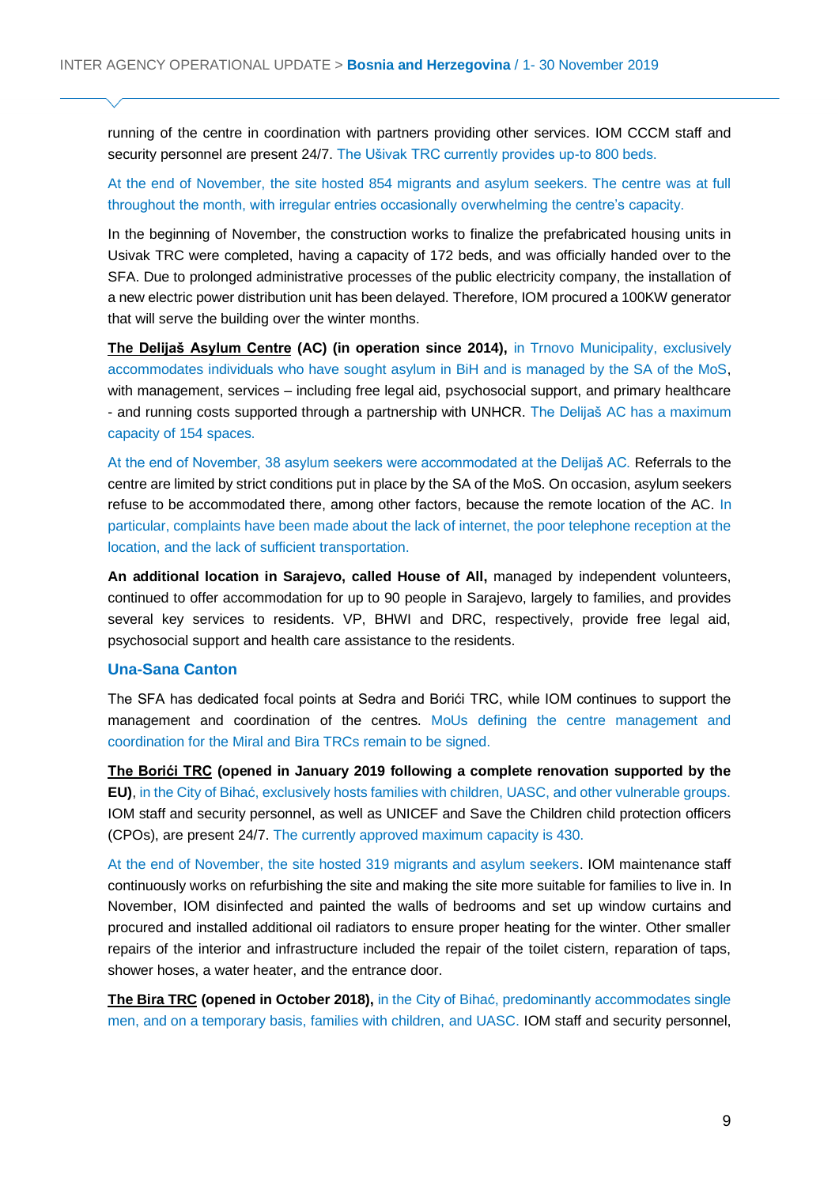running of the centre in coordination with partners providing other services. IOM CCCM staff and security personnel are present 24/7. The Ušivak TRC currently provides up-to 800 beds.

#### At the end of November, the site hosted 854 migrants and asylum seekers. The centre was at full throughout the month, with irregular entries occasionally overwhelming the centre's capacity.

In the beginning of November, the construction works to finalize the prefabricated housing units in Usivak TRC were completed, having a capacity of 172 beds, and was officially handed over to the SFA. Due to prolonged administrative processes of the public electricity company, the installation of a new electric power distribution unit has been delayed. Therefore, IOM procured a 100KW generator that will serve the building over the winter months.

**The Delijaš Asylum Centre (AC) (in operation since 2014),** in Trnovo Municipality, exclusively accommodates individuals who have sought asylum in BiH and is managed by the SA of the MoS, with management, services – including free legal aid, psychosocial support, and primary healthcare - and running costs supported through a partnership with UNHCR. The Delijaš AC has a maximum capacity of 154 spaces.

At the end of November, 38 asylum seekers were accommodated at the Delijaš AC. Referrals to the centre are limited by strict conditions put in place by the SA of the MoS. On occasion, asylum seekers refuse to be accommodated there, among other factors, because the remote location of the AC. In particular, complaints have been made about the lack of internet, the poor telephone reception at the location, and the lack of sufficient transportation.

**An additional location in Sarajevo, called House of All,** managed by independent volunteers, continued to offer accommodation for up to 90 people in Sarajevo, largely to families, and provides several key services to residents. VP, BHWI and DRC, respectively, provide free legal aid, psychosocial support and health care assistance to the residents.

#### **Una-Sana Canton**

The SFA has dedicated focal points at Sedra and Borići TRC, while IOM continues to support the management and coordination of the centres. MoUs defining the centre management and coordination for the Miral and Bira TRCs remain to be signed.

**The Borići TRC (opened in January 2019 following a complete renovation supported by the EU)**, in the City of Bihać, exclusively hosts families with children, UASC, and other vulnerable groups. IOM staff and security personnel, as well as UNICEF and Save the Children child protection officers (CPOs), are present 24/7. The currently approved maximum capacity is 430.

At the end of November, the site hosted 319 migrants and asylum seekers. IOM maintenance staff continuously works on refurbishing the site and making the site more suitable for families to live in. In November, IOM disinfected and painted the walls of bedrooms and set up window curtains and procured and installed additional oil radiators to ensure proper heating for the winter. Other smaller repairs of the interior and infrastructure included the repair of the toilet cistern, reparation of taps, shower hoses, a water heater, and the entrance door.

**The Bira TRC (opened in October 2018),** in the City of Bihać, predominantly accommodates single men, and on a temporary basis, families with children, and UASC. IOM staff and security personnel,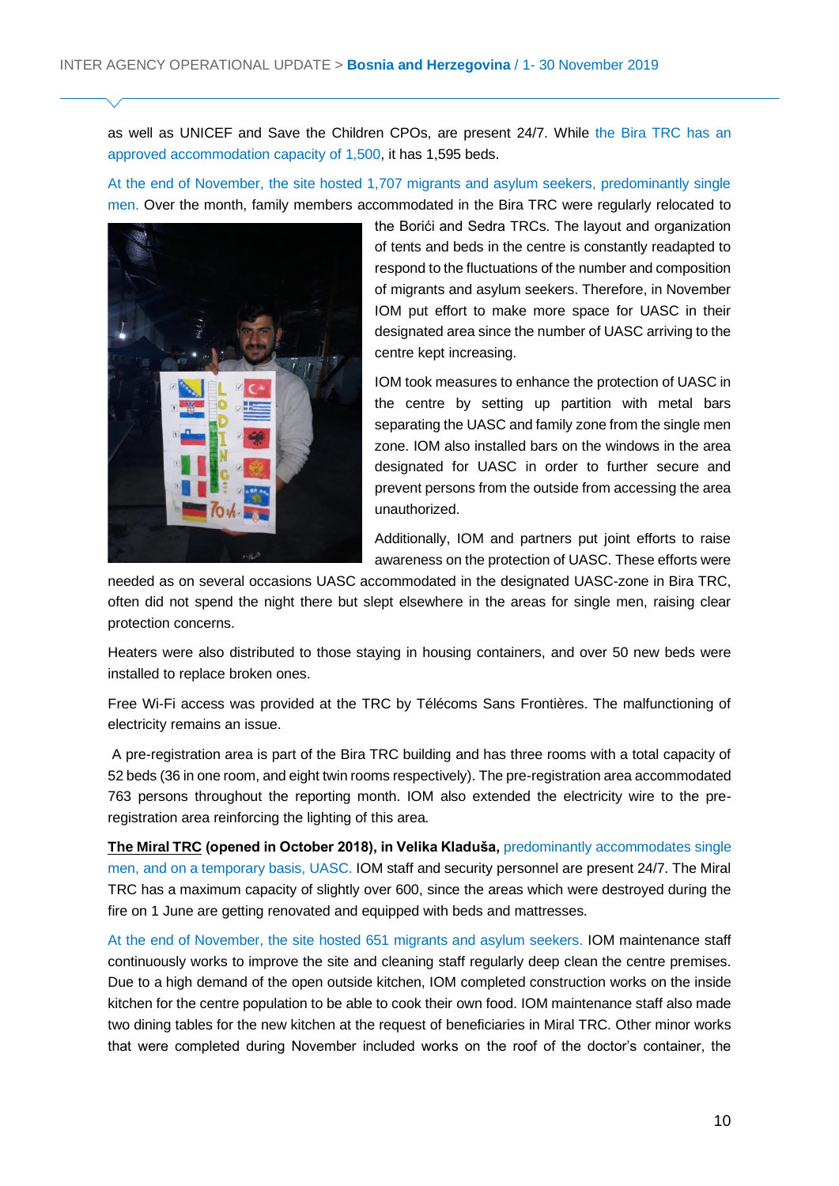as well as UNICEF and Save the Children CPOs, are present 24/7. While the Bira TRC has an approved accommodation capacity of 1,500, it has 1,595 beds.

At the end of November, the site hosted 1,707 migrants and asylum seekers, predominantly single men. Over the month, family members accommodated in the Bira TRC were regularly relocated to



the Borići and Sedra TRCs. The layout and organization of tents and beds in the centre is constantly readapted to respond to the fluctuations of the number and composition of migrants and asylum seekers. Therefore, in November IOM put effort to make more space for UASC in their designated area since the number of UASC arriving to the centre kept increasing.

IOM took measures to enhance the protection of UASC in the centre by setting up partition with metal bars separating the UASC and family zone from the single men zone. IOM also installed bars on the windows in the area designated for UASC in order to further secure and prevent persons from the outside from accessing the area unauthorized.

Additionally, IOM and partners put joint efforts to raise awareness on the protection of UASC. These efforts were

needed as on several occasions UASC accommodated in the designated UASC-zone in Bira TRC, often did not spend the night there but slept elsewhere in the areas for single men, raising clear protection concerns.

Heaters were also distributed to those staying in housing containers, and over 50 new beds were installed to replace broken ones.

Free Wi-Fi access was provided at the TRC by Télécoms Sans Frontières. The malfunctioning of electricity remains an issue.

A pre-registration area is part of the Bira TRC building and has three rooms with a total capacity of 52 beds (36 in one room, and eight twin rooms respectively). The pre-registration area accommodated 763 persons throughout the reporting month. IOM also extended the electricity wire to the preregistration area reinforcing the lighting of this area.

**The Miral TRC (opened in October 2018), in Velika Kladuša,** predominantly accommodates single men, and on a temporary basis, UASC. IOM staff and security personnel are present 24/7. The Miral TRC has a maximum capacity of slightly over 600, since the areas which were destroyed during the fire on 1 June are getting renovated and equipped with beds and mattresses.

At the end of November, the site hosted 651 migrants and asylum seekers. IOM maintenance staff continuously works to improve the site and cleaning staff regularly deep clean the centre premises. Due to a high demand of the open outside kitchen, IOM completed construction works on the inside kitchen for the centre population to be able to cook their own food. IOM maintenance staff also made two dining tables for the new kitchen at the request of beneficiaries in Miral TRC. Other minor works that were completed during November included works on the roof of the doctor's container, the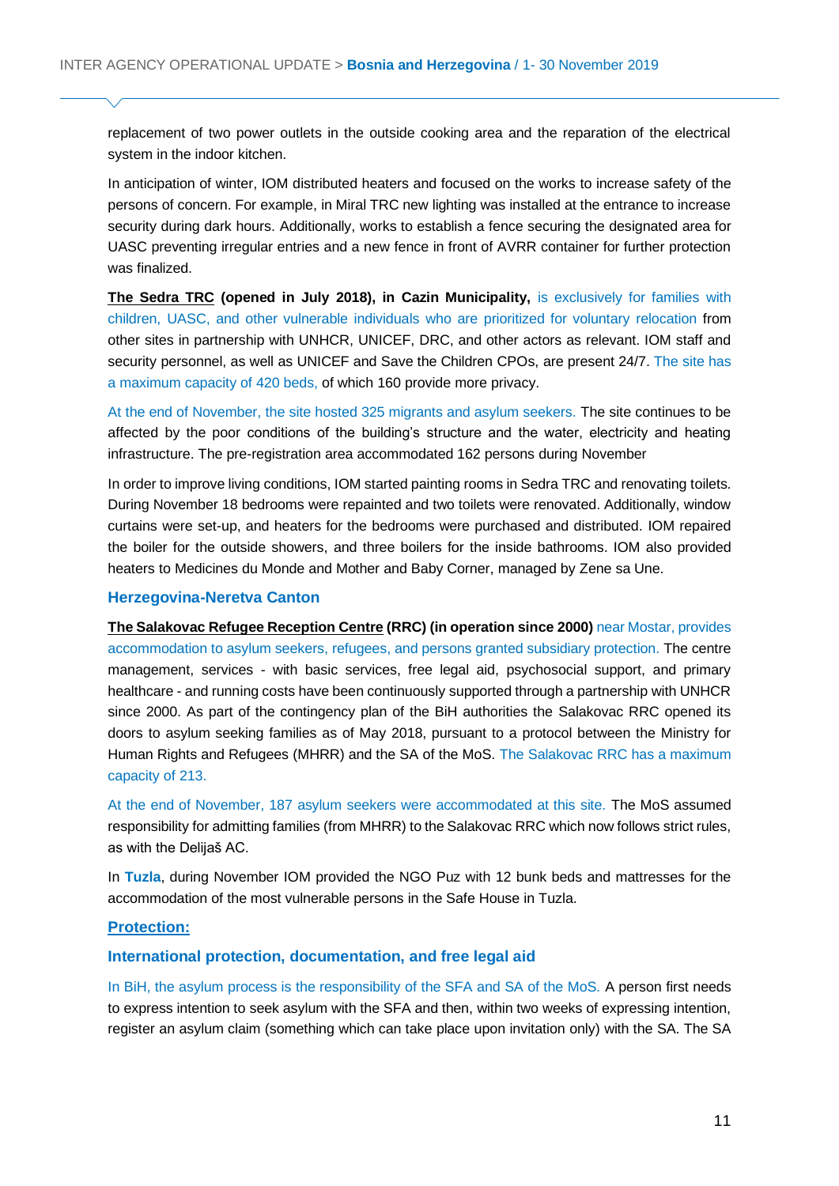replacement of two power outlets in the outside cooking area and the reparation of the electrical system in the indoor kitchen.

In anticipation of winter, IOM distributed heaters and focused on the works to increase safety of the persons of concern. For example, in Miral TRC new lighting was installed at the entrance to increase security during dark hours. Additionally, works to establish a fence securing the designated area for UASC preventing irregular entries and a new fence in front of AVRR container for further protection was finalized.

**The Sedra TRC (opened in July 2018), in Cazin Municipality,** is exclusively for families with children, UASC, and other vulnerable individuals who are prioritized for voluntary relocation from other sites in partnership with UNHCR, UNICEF, DRC, and other actors as relevant. IOM staff and security personnel, as well as UNICEF and Save the Children CPOs, are present 24/7. The site has a maximum capacity of 420 beds, of which 160 provide more privacy.

At the end of November, the site hosted 325 migrants and asylum seekers. The site continues to be affected by the poor conditions of the building's structure and the water, electricity and heating infrastructure. The pre-registration area accommodated 162 persons during November

In order to improve living conditions, IOM started painting rooms in Sedra TRC and renovating toilets. During November 18 bedrooms were repainted and two toilets were renovated. Additionally, window curtains were set-up, and heaters for the bedrooms were purchased and distributed. IOM repaired the boiler for the outside showers, and three boilers for the inside bathrooms. IOM also provided heaters to Medicines du Monde and Mother and Baby Corner, managed by Zene sa Une.

#### **Herzegovina-Neretva Canton**

**The Salakovac Refugee Reception Centre (RRC) (in operation since 2000)** near Mostar, provides accommodation to asylum seekers, refugees, and persons granted subsidiary protection. The centre management, services - with basic services, free legal aid, psychosocial support, and primary healthcare - and running costs have been continuously supported through a partnership with UNHCR since 2000. As part of the contingency plan of the BiH authorities the Salakovac RRC opened its doors to asylum seeking families as of May 2018, pursuant to a protocol between the Ministry for Human Rights and Refugees (MHRR) and the SA of the MoS. The Salakovac RRC has a maximum capacity of 213.

At the end of November, 187 asylum seekers were accommodated at this site. The MoS assumed responsibility for admitting families (from MHRR) to the Salakovac RRC which now follows strict rules, as with the Delijaš AC.

In **Tuzla**, during November IOM provided the NGO Puz with 12 bunk beds and mattresses for the accommodation of the most vulnerable persons in the Safe House in Tuzla.

#### **Protection:**

#### **International protection, documentation, and free legal aid**

In BiH, the asylum process is the responsibility of the SFA and SA of the MoS. A person first needs to express intention to seek asylum with the SFA and then, within two weeks of expressing intention, register an asylum claim (something which can take place upon invitation only) with the SA. The SA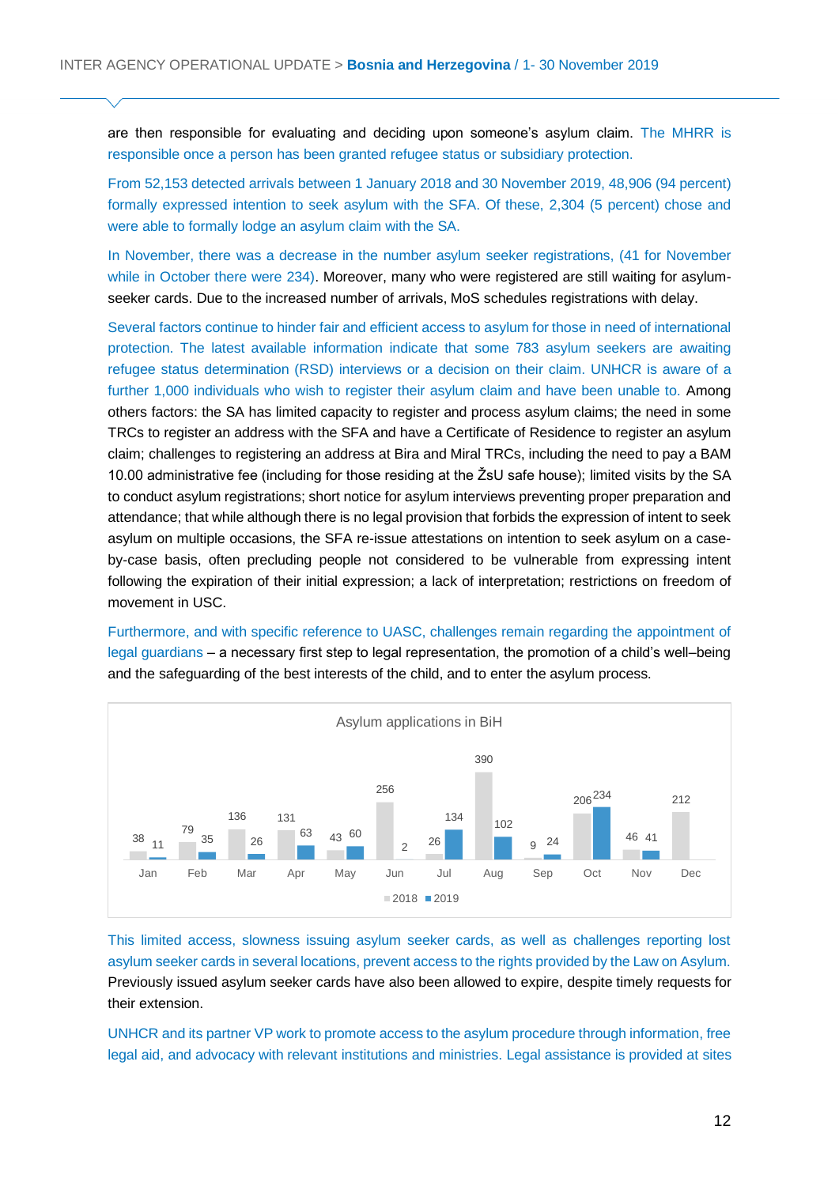are then responsible for evaluating and deciding upon someone's asylum claim. The MHRR is responsible once a person has been granted refugee status or subsidiary protection.

From 52,153 detected arrivals between 1 January 2018 and 30 November 2019, 48,906 (94 percent) formally expressed intention to seek asylum with the SFA. Of these, 2,304 (5 percent) chose and were able to formally lodge an asylum claim with the SA.

In November, there was a decrease in the number asylum seeker registrations, (41 for November while in October there were 234). Moreover, many who were registered are still waiting for asylumseeker cards. Due to the increased number of arrivals, MoS schedules registrations with delay.

Several factors continue to hinder fair and efficient access to asylum for those in need of international protection. The latest available information indicate that some 783 asylum seekers are awaiting refugee status determination (RSD) interviews or a decision on their claim. UNHCR is aware of a further 1,000 individuals who wish to register their asylum claim and have been unable to. Among others factors: the SA has limited capacity to register and process asylum claims; the need in some TRCs to register an address with the SFA and have a Certificate of Residence to register an asylum claim; challenges to registering an address at Bira and Miral TRCs, including the need to pay a BAM 10.00 administrative fee (including for those residing at the ŽsU safe house); limited visits by the SA to conduct asylum registrations; short notice for asylum interviews preventing proper preparation and attendance; that while although there is no legal provision that forbids the expression of intent to seek asylum on multiple occasions, the SFA re-issue attestations on intention to seek asylum on a caseby-case basis, often precluding people not considered to be vulnerable from expressing intent following the expiration of their initial expression; a lack of interpretation; restrictions on freedom of movement in USC.

Furthermore, and with specific reference to UASC, challenges remain regarding the appointment of legal guardians – a necessary first step to legal representation, the promotion of a child's well–being and the safeguarding of the best interests of the child, and to enter the asylum process.



This limited access, slowness issuing asylum seeker cards, as well as challenges reporting lost asylum seeker cards in several locations, prevent access to the rights provided by the Law on Asylum. Previously issued asylum seeker cards have also been allowed to expire, despite timely requests for their extension.

UNHCR and its partner VP work to promote access to the asylum procedure through information, free legal aid, and advocacy with relevant institutions and ministries. Legal assistance is provided at sites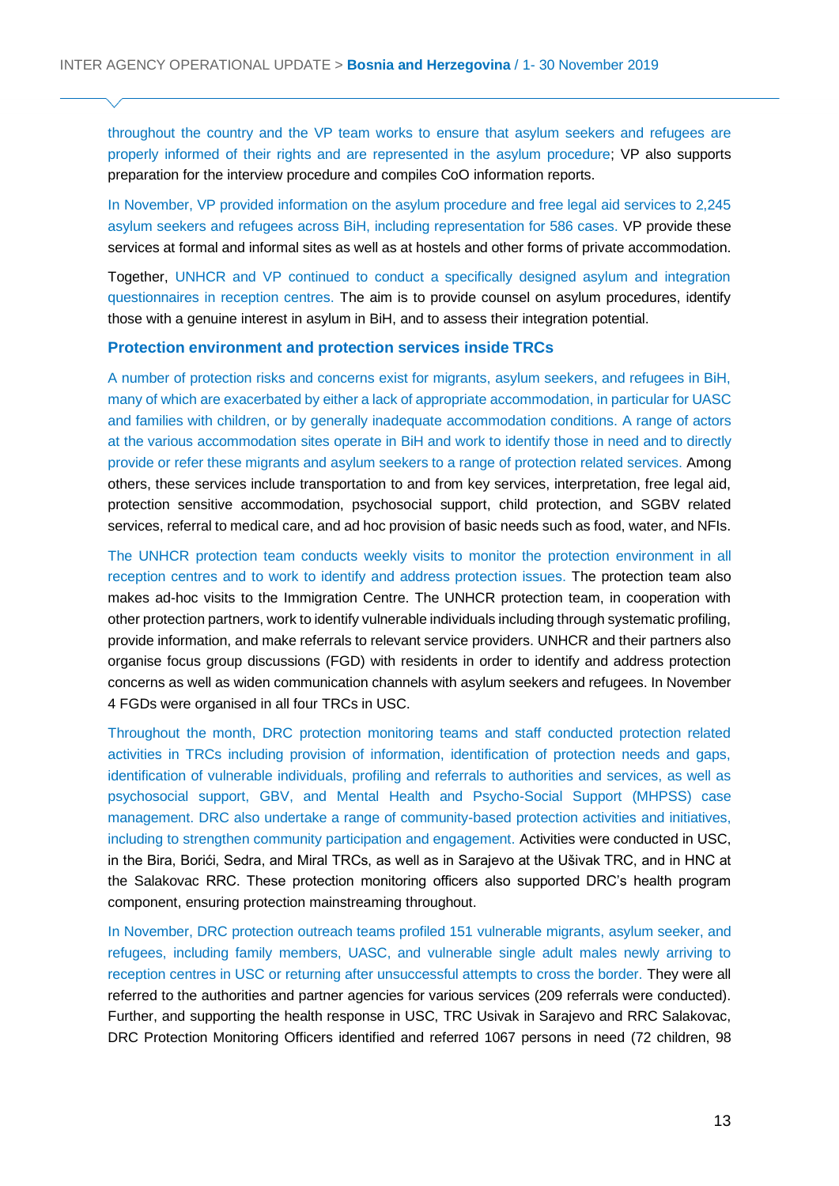throughout the country and the VP team works to ensure that asylum seekers and refugees are properly informed of their rights and are represented in the asylum procedure; VP also supports preparation for the interview procedure and compiles CoO information reports.

In November, VP provided information on the asylum procedure and free legal aid services to 2,245 asylum seekers and refugees across BiH, including representation for 586 cases. VP provide these services at formal and informal sites as well as at hostels and other forms of private accommodation.

Together, UNHCR and VP continued to conduct a specifically designed asylum and integration questionnaires in reception centres. The aim is to provide counsel on asylum procedures, identify those with a genuine interest in asylum in BiH, and to assess their integration potential.

#### **Protection environment and protection services inside TRCs**

A number of protection risks and concerns exist for migrants, asylum seekers, and refugees in BiH, many of which are exacerbated by either a lack of appropriate accommodation, in particular for UASC and families with children, or by generally inadequate accommodation conditions. A range of actors at the various accommodation sites operate in BiH and work to identify those in need and to directly provide or refer these migrants and asylum seekers to a range of protection related services. Among others, these services include transportation to and from key services, interpretation, free legal aid, protection sensitive accommodation, psychosocial support, child protection, and SGBV related services, referral to medical care, and ad hoc provision of basic needs such as food, water, and NFIs.

The UNHCR protection team conducts weekly visits to monitor the protection environment in all reception centres and to work to identify and address protection issues. The protection team also makes ad-hoc visits to the Immigration Centre. The UNHCR protection team, in cooperation with other protection partners, work to identify vulnerable individuals including through systematic profiling, provide information, and make referrals to relevant service providers. UNHCR and their partners also organise focus group discussions (FGD) with residents in order to identify and address protection concerns as well as widen communication channels with asylum seekers and refugees. In November 4 FGDs were organised in all four TRCs in USC.

Throughout the month, DRC protection monitoring teams and staff conducted protection related activities in TRCs including provision of information, identification of protection needs and gaps, identification of vulnerable individuals, profiling and referrals to authorities and services, as well as psychosocial support, GBV, and Mental Health and Psycho-Social Support (MHPSS) case management. DRC also undertake a range of community-based protection activities and initiatives, including to strengthen community participation and engagement. Activities were conducted in USC, in the Bira, Borići, Sedra, and Miral TRCs, as well as in Sarajevo at the Ušivak TRC, and in HNC at the Salakovac RRC. These protection monitoring officers also supported DRC's health program component, ensuring protection mainstreaming throughout.

In November, DRC protection outreach teams profiled 151 vulnerable migrants, asylum seeker, and refugees, including family members, UASC, and vulnerable single adult males newly arriving to reception centres in USC or returning after unsuccessful attempts to cross the border. They were all referred to the authorities and partner agencies for various services (209 referrals were conducted). Further, and supporting the health response in USC, TRC Usivak in Sarajevo and RRC Salakovac, DRC Protection Monitoring Officers identified and referred 1067 persons in need (72 children, 98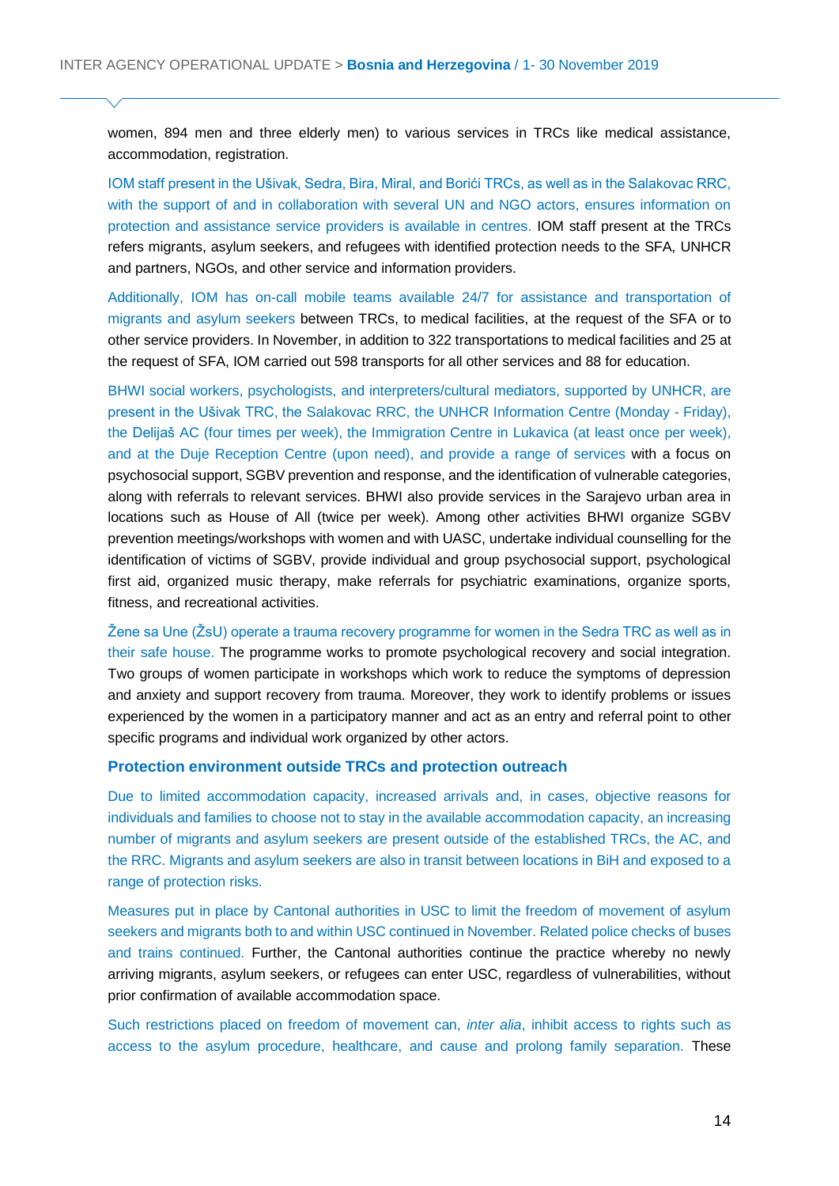women, 894 men and three elderly men) to various services in TRCs like medical assistance, accommodation, registration.

IOM staff present in the Ušivak, Sedra, Bira, Miral, and Borići TRCs, as well as in the Salakovac RRC, with the support of and in collaboration with several UN and NGO actors, ensures information on protection and assistance service providers is available in centres. IOM staff present at the TRCs refers migrants, asylum seekers, and refugees with identified protection needs to the SFA, UNHCR and partners, NGOs, and other service and information providers.

Additionally, IOM has on-call mobile teams available 24/7 for assistance and transportation of migrants and asylum seekers between TRCs, to medical facilities, at the request of the SFA or to other service providers. In November, in addition to 322 transportations to medical facilities and 25 at the request of SFA, IOM carried out 598 transports for all other services and 88 for education.

BHWI social workers, psychologists, and interpreters/cultural mediators, supported by UNHCR, are present in the Ušivak TRC, the Salakovac RRC, the UNHCR Information Centre (Monday - Friday), the Delijaš AC (four times per week), the Immigration Centre in Lukavica (at least once per week), and at the Duje Reception Centre (upon need), and provide a range of services with a focus on psychosocial support, SGBV prevention and response, and the identification of vulnerable categories, along with referrals to relevant services. BHWI also provide services in the Sarajevo urban area in locations such as House of All (twice per week). Among other activities BHWI organize SGBV prevention meetings/workshops with women and with UASC, undertake individual counselling for the identification of victims of SGBV, provide individual and group psychosocial support, psychological first aid, organized music therapy, make referrals for psychiatric examinations, organize sports, fitness, and recreational activities.

Žene sa Une (ŽsU) operate a trauma recovery programme for women in the Sedra TRC as well as in their safe house. The programme works to promote psychological recovery and social integration. Two groups of women participate in workshops which work to reduce the symptoms of depression and anxiety and support recovery from trauma. Moreover, they work to identify problems or issues experienced by the women in a participatory manner and act as an entry and referral point to other specific programs and individual work organized by other actors.

#### **Protection environment outside TRCs and protection outreach**

Due to limited accommodation capacity, increased arrivals and, in cases, objective reasons for individuals and families to choose not to stay in the available accommodation capacity, an increasing number of migrants and asylum seekers are present outside of the established TRCs, the AC, and the RRC. Migrants and asylum seekers are also in transit between locations in BiH and exposed to a range of protection risks.

Measures put in place by Cantonal authorities in USC to limit the freedom of movement of asylum seekers and migrants both to and within USC continued in November. Related police checks of buses and trains continued. Further, the Cantonal authorities continue the practice whereby no newly arriving migrants, asylum seekers, or refugees can enter USC, regardless of vulnerabilities, without prior confirmation of available accommodation space.

Such restrictions placed on freedom of movement can, *inter alia*, inhibit access to rights such as access to the asylum procedure, healthcare, and cause and prolong family separation. These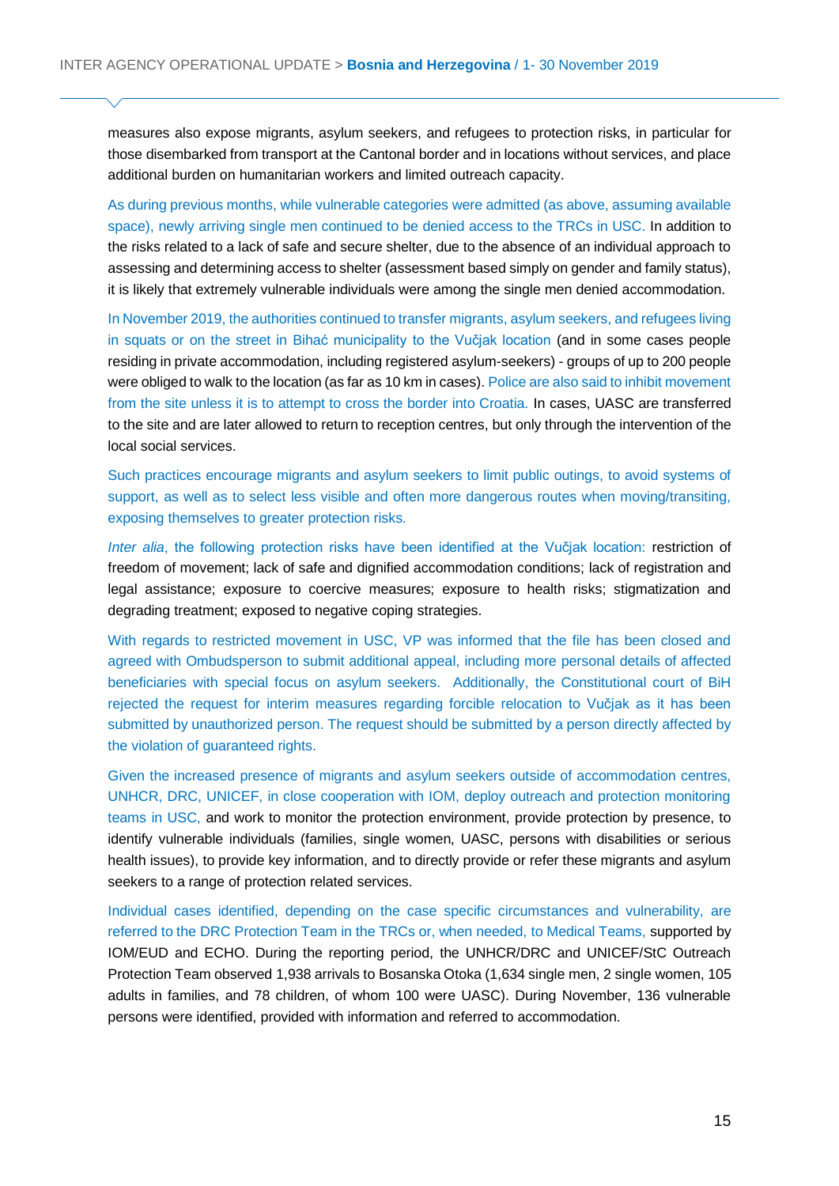measures also expose migrants, asylum seekers, and refugees to protection risks, in particular for those disembarked from transport at the Cantonal border and in locations without services, and place additional burden on humanitarian workers and limited outreach capacity.

As during previous months, while vulnerable categories were admitted (as above, assuming available space), newly arriving single men continued to be denied access to the TRCs in USC. In addition to the risks related to a lack of safe and secure shelter, due to the absence of an individual approach to assessing and determining access to shelter (assessment based simply on gender and family status), it is likely that extremely vulnerable individuals were among the single men denied accommodation.

In November 2019, the authorities continued to transfer migrants, asylum seekers, and refugees living in squats or on the street in Bihać municipality to the Vučjak location (and in some cases people residing in private accommodation, including registered asylum-seekers) - groups of up to 200 people were obliged to walk to the location (as far as 10 km in cases). Police are also said to inhibit movement from the site unless it is to attempt to cross the border into Croatia. In cases, UASC are transferred to the site and are later allowed to return to reception centres, but only through the intervention of the local social services.

Such practices encourage migrants and asylum seekers to limit public outings, to avoid systems of support, as well as to select less visible and often more dangerous routes when moving/transiting, exposing themselves to greater protection risks.

*Inter alia*, the following protection risks have been identified at the Vučjak location: restriction of freedom of movement; lack of safe and dignified accommodation conditions; lack of registration and legal assistance; exposure to coercive measures; exposure to health risks; stigmatization and degrading treatment; exposed to negative coping strategies.

With regards to restricted movement in USC, VP was informed that the file has been closed and agreed with Ombudsperson to submit additional appeal, including more personal details of affected beneficiaries with special focus on asylum seekers. Additionally, the Constitutional court of BiH rejected the request for interim measures regarding forcible relocation to Vučjak as it has been submitted by unauthorized person. The request should be submitted by a person directly affected by the violation of guaranteed rights.

Given the increased presence of migrants and asylum seekers outside of accommodation centres, UNHCR, DRC, UNICEF, in close cooperation with IOM, deploy outreach and protection monitoring teams in USC, and work to monitor the protection environment, provide protection by presence, to identify vulnerable individuals (families, single women, UASC, persons with disabilities or serious health issues), to provide key information, and to directly provide or refer these migrants and asylum seekers to a range of protection related services.

Individual cases identified, depending on the case specific circumstances and vulnerability, are referred to the DRC Protection Team in the TRCs or, when needed, to Medical Teams, supported by IOM/EUD and ECHO. During the reporting period, the UNHCR/DRC and UNICEF/StC Outreach Protection Team observed 1,938 arrivals to Bosanska Otoka (1,634 single men, 2 single women, 105 adults in families, and 78 children, of whom 100 were UASC). During November, 136 vulnerable persons were identified, provided with information and referred to accommodation.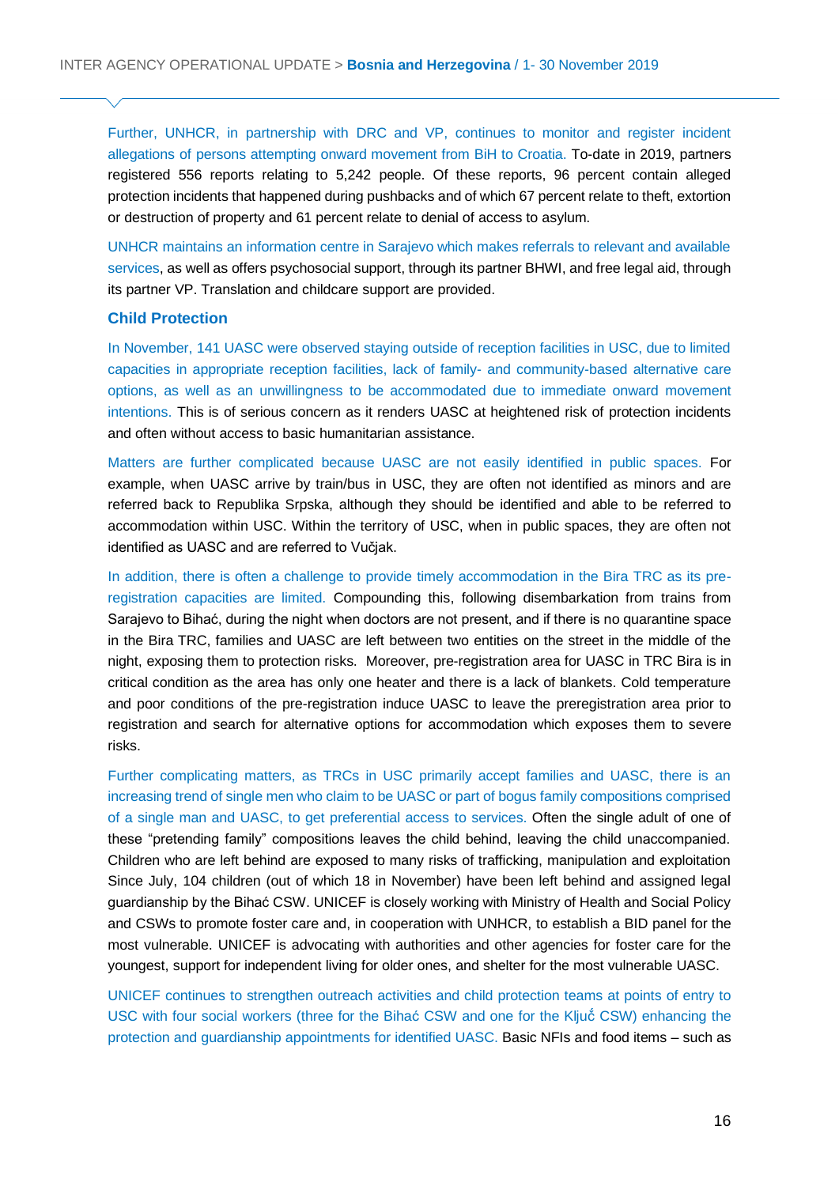Further, UNHCR, in partnership with DRC and VP, continues to monitor and register incident allegations of persons attempting onward movement from BiH to Croatia. To-date in 2019, partners registered 556 reports relating to 5,242 people. Of these reports, 96 percent contain alleged protection incidents that happened during pushbacks and of which 67 percent relate to theft, extortion or destruction of property and 61 percent relate to denial of access to asylum.

UNHCR maintains an information centre in Sarajevo which makes referrals to relevant and available services, as well as offers psychosocial support, through its partner BHWI, and free legal aid, through its partner VP. Translation and childcare support are provided.

#### **Child Protection**

In November, 141 UASC were observed staying outside of reception facilities in USC, due to limited capacities in appropriate reception facilities, lack of family- and community-based alternative care options, as well as an unwillingness to be accommodated due to immediate onward movement intentions. This is of serious concern as it renders UASC at heightened risk of protection incidents and often without access to basic humanitarian assistance.

Matters are further complicated because UASC are not easily identified in public spaces. For example, when UASC arrive by train/bus in USC, they are often not identified as minors and are referred back to Republika Srpska, although they should be identified and able to be referred to accommodation within USC. Within the territory of USC, when in public spaces, they are often not identified as UASC and are referred to Vučjak.

In addition, there is often a challenge to provide timely accommodation in the Bira TRC as its preregistration capacities are limited. Compounding this, following disembarkation from trains from Sarajevo to Bihać, during the night when doctors are not present, and if there is no quarantine space in the Bira TRC, families and UASC are left between two entities on the street in the middle of the night, exposing them to protection risks. Moreover, pre-registration area for UASC in TRC Bira is in critical condition as the area has only one heater and there is a lack of blankets. Cold temperature and poor conditions of the pre-registration induce UASC to leave the preregistration area prior to registration and search for alternative options for accommodation which exposes them to severe risks.

Further complicating matters, as TRCs in USC primarily accept families and UASC, there is an increasing trend of single men who claim to be UASC or part of bogus family compositions comprised of a single man and UASC, to get preferential access to services. Often the single adult of one of these "pretending family" compositions leaves the child behind, leaving the child unaccompanied. Children who are left behind are exposed to many risks of trafficking, manipulation and exploitation Since July, 104 children (out of which 18 in November) have been left behind and assigned legal guardianship by the Bihać CSW. UNICEF is closely working with Ministry of Health and Social Policy and CSWs to promote foster care and, in cooperation with UNHCR, to establish a BID panel for the most vulnerable. UNICEF is advocating with authorities and other agencies for foster care for the youngest, support for independent living for older ones, and shelter for the most vulnerable UASC.

UNICEF continues to strengthen outreach activities and child protection teams at points of entry to USC with four social workers (three for the Bihać CSW and one for the Ključ́ CSW) enhancing the protection and guardianship appointments for identified UASC. Basic NFIs and food items – such as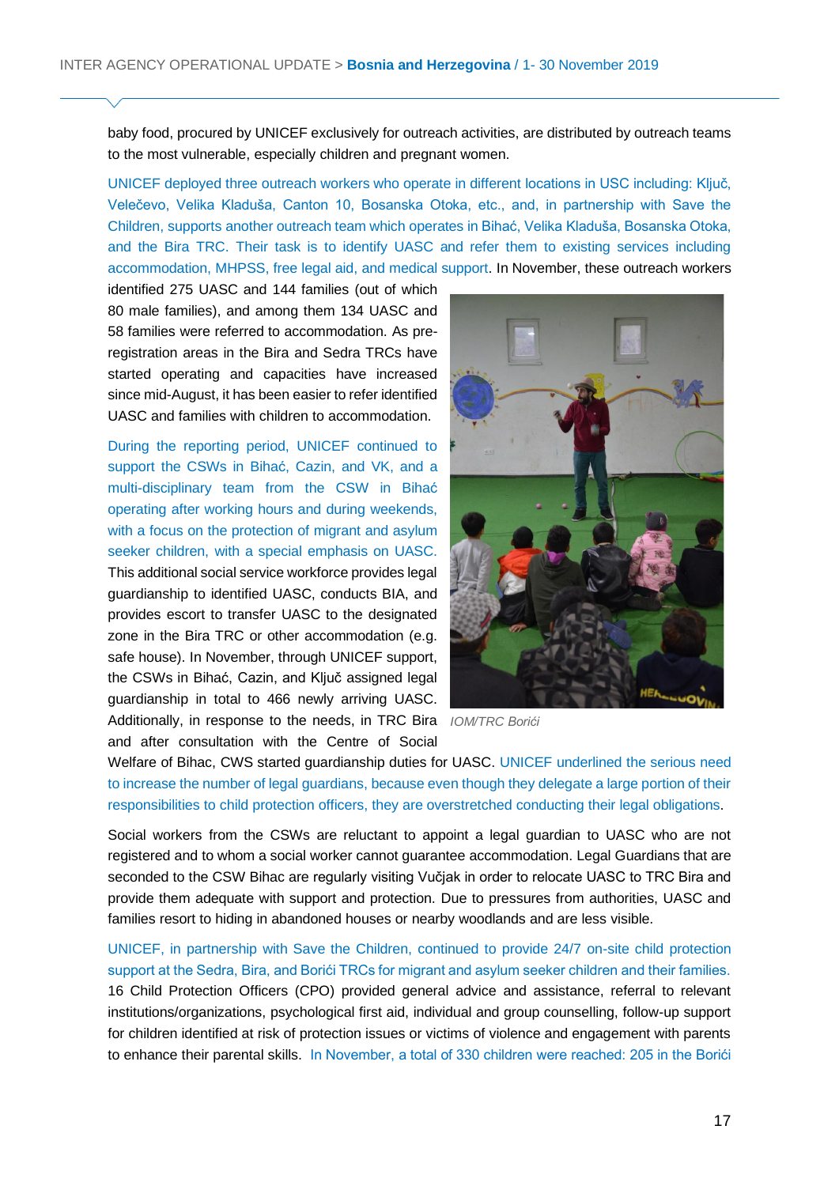baby food, procured by UNICEF exclusively for outreach activities, are distributed by outreach teams to the most vulnerable, especially children and pregnant women.

UNICEF deployed three outreach workers who operate in different locations in USC including: Ključ, Velečevo, Velika Kladuša, Canton 10, Bosanska Otoka, etc., and, in partnership with Save the Children, supports another outreach team which operates in Bihać, Velika Kladuša, Bosanska Otoka, and the Bira TRC. Their task is to identify UASC and refer them to existing services including accommodation, MHPSS, free legal aid, and medical support. In November, these outreach workers

identified 275 UASC and 144 families (out of which 80 male families), and among them 134 UASC and 58 families were referred to accommodation. As preregistration areas in the Bira and Sedra TRCs have started operating and capacities have increased since mid-August, it has been easier to refer identified UASC and families with children to accommodation.

During the reporting period, UNICEF continued to support the CSWs in Bihać, Cazin, and VK, and a multi-disciplinary team from the CSW in Bihać operating after working hours and during weekends, with a focus on the protection of migrant and asylum seeker children, with a special emphasis on UASC. This additional social service workforce provides legal guardianship to identified UASC, conducts BIA, and provides escort to transfer UASC to the designated zone in the Bira TRC or other accommodation (e.g. safe house). In November, through UNICEF support, the CSWs in Bihać, Cazin, and Ključ assigned legal guardianship in total to 466 newly arriving UASC. Additionally, in response to the needs, in TRC Bira *IOM/TRC Borići* and after consultation with the Centre of Social



Welfare of Bihac, CWS started guardianship duties for UASC. UNICEF underlined the serious need to increase the number of legal guardians, because even though they delegate a large portion of their responsibilities to child protection officers, they are overstretched conducting their legal obligations.

Social workers from the CSWs are reluctant to appoint a legal guardian to UASC who are not registered and to whom a social worker cannot guarantee accommodation. Legal Guardians that are seconded to the CSW Bihac are regularly visiting Vučjak in order to relocate UASC to TRC Bira and provide them adequate with support and protection. Due to pressures from authorities, UASC and families resort to hiding in abandoned houses or nearby woodlands and are less visible.

UNICEF, in partnership with Save the Children, continued to provide 24/7 on-site child protection support at the Sedra, Bira, and Borići TRCs for migrant and asylum seeker children and their families. 16 Child Protection Officers (CPO) provided general advice and assistance, referral to relevant institutions/organizations, psychological first aid, individual and group counselling, follow-up support for children identified at risk of protection issues or victims of violence and engagement with parents to enhance their parental skills. In November, a total of 330 children were reached: 205 in the Borići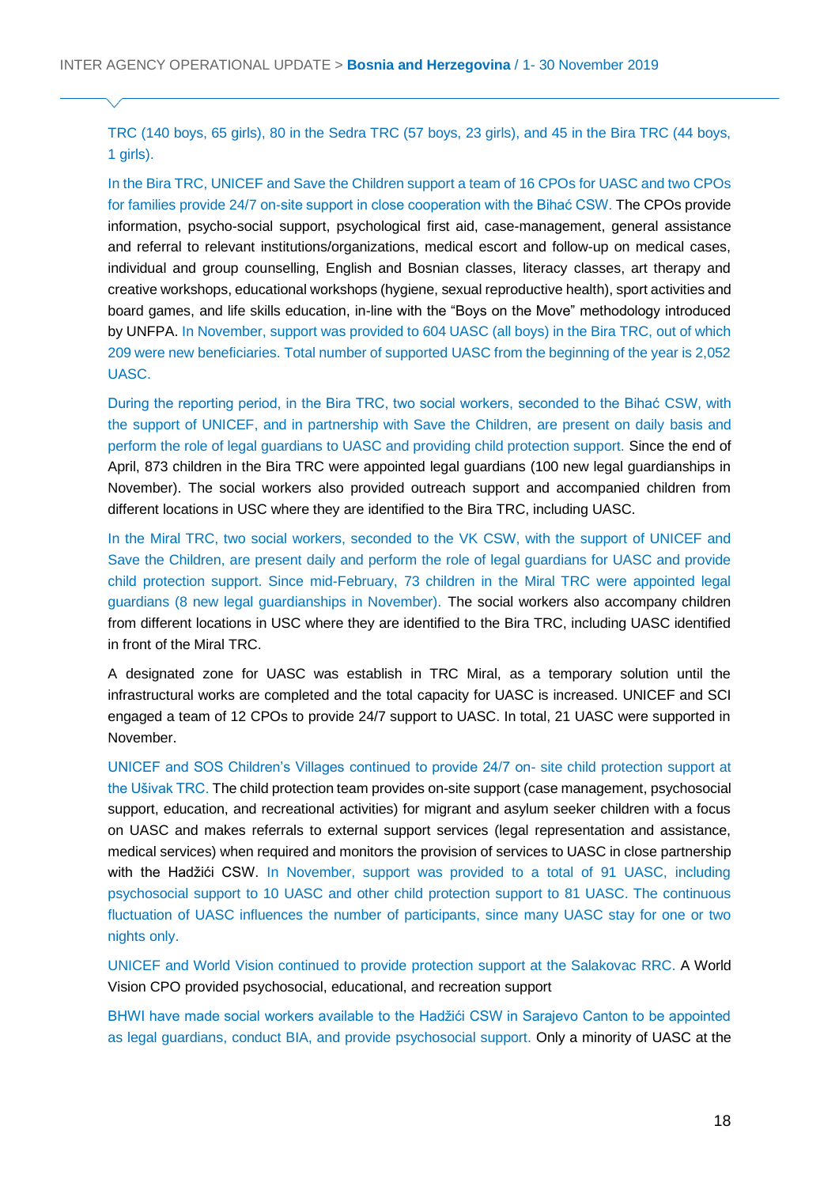TRC (140 boys, 65 girls), 80 in the Sedra TRC (57 boys, 23 girls), and 45 in the Bira TRC (44 boys, 1 girls).

In the Bira TRC, UNICEF and Save the Children support a team of 16 CPOs for UASC and two CPOs for families provide 24/7 on-site support in close cooperation with the Bihać CSW. The CPOs provide information, psycho-social support, psychological first aid, case-management, general assistance and referral to relevant institutions/organizations, medical escort and follow-up on medical cases, individual and group counselling, English and Bosnian classes, literacy classes, art therapy and creative workshops, educational workshops (hygiene, sexual reproductive health), sport activities and board games, and life skills education, in-line with the "Boys on the Move" methodology introduced by UNFPA. In November, support was provided to 604 UASC (all boys) in the Bira TRC, out of which 209 were new beneficiaries. Total number of supported UASC from the beginning of the year is 2,052 UASC.

During the reporting period, in the Bira TRC, two social workers, seconded to the Bihać CSW, with the support of UNICEF, and in partnership with Save the Children, are present on daily basis and perform the role of legal guardians to UASC and providing child protection support. Since the end of April, 873 children in the Bira TRC were appointed legal guardians (100 new legal guardianships in November). The social workers also provided outreach support and accompanied children from different locations in USC where they are identified to the Bira TRC, including UASC.

In the Miral TRC, two social workers, seconded to the VK CSW, with the support of UNICEF and Save the Children, are present daily and perform the role of legal guardians for UASC and provide child protection support. Since mid-February, 73 children in the Miral TRC were appointed legal guardians (8 new legal guardianships in November). The social workers also accompany children from different locations in USC where they are identified to the Bira TRC, including UASC identified in front of the Miral TRC.

A designated zone for UASC was establish in TRC Miral, as a temporary solution until the infrastructural works are completed and the total capacity for UASC is increased. UNICEF and SCI engaged a team of 12 CPOs to provide 24/7 support to UASC. In total, 21 UASC were supported in November.

UNICEF and SOS Children's Villages continued to provide 24/7 on- site child protection support at the Ušivak TRC. The child protection team provides on-site support (case management, psychosocial support, education, and recreational activities) for migrant and asylum seeker children with a focus on UASC and makes referrals to external support services (legal representation and assistance, medical services) when required and monitors the provision of services to UASC in close partnership with the Hadžići CSW. In November, support was provided to a total of 91 UASC, including psychosocial support to 10 UASC and other child protection support to 81 UASC. The continuous fluctuation of UASC influences the number of participants, since many UASC stay for one or two nights only.

UNICEF and World Vision continued to provide protection support at the Salakovac RRC. A World Vision CPO provided psychosocial, educational, and recreation support

BHWI have made social workers available to the Hadžići CSW in Sarajevo Canton to be appointed as legal guardians, conduct BIA, and provide psychosocial support. Only a minority of UASC at the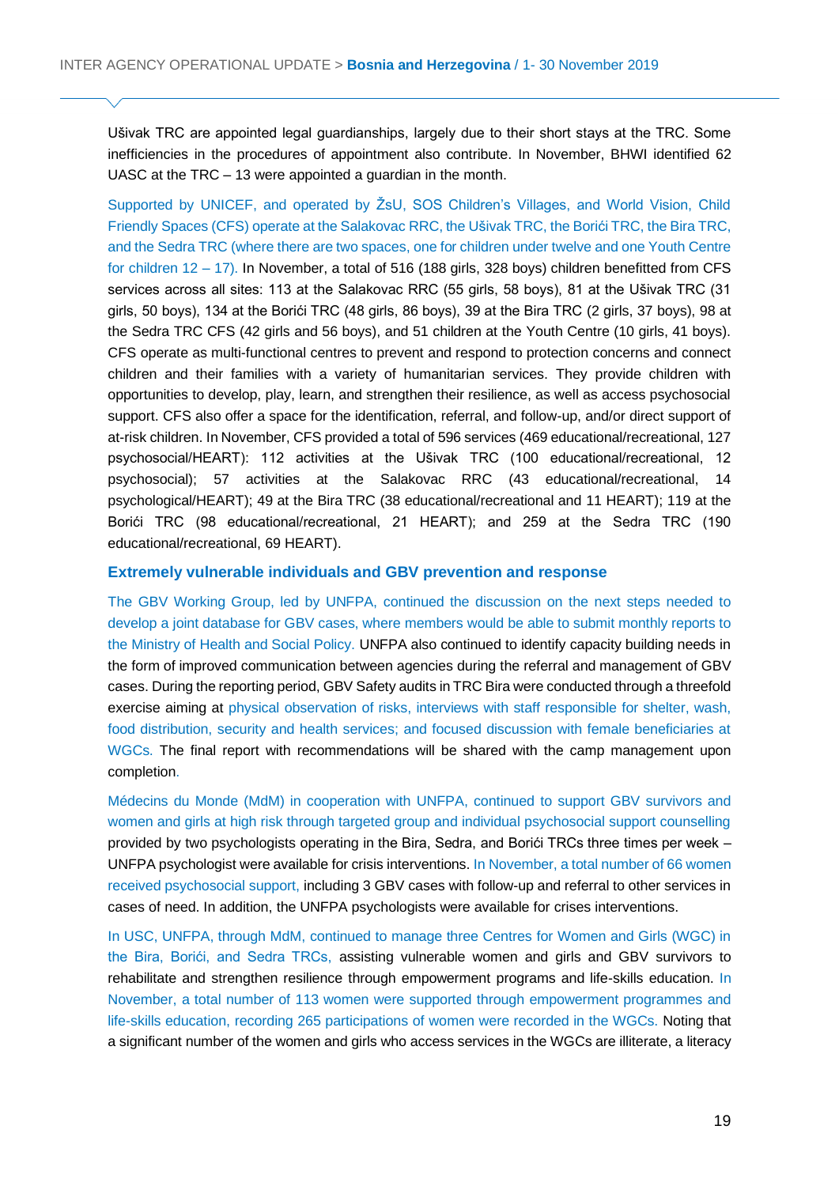Ušivak TRC are appointed legal guardianships, largely due to their short stays at the TRC. Some inefficiencies in the procedures of appointment also contribute. In November, BHWI identified 62 UASC at the TRC – 13 were appointed a guardian in the month.

Supported by UNICEF, and operated by ŽsU, SOS Children's Villages, and World Vision, Child Friendly Spaces (CFS) operate at the Salakovac RRC, the Ušivak TRC, the Borići TRC, the Bira TRC, and the Sedra TRC (where there are two spaces, one for children under twelve and one Youth Centre for children 12 – 17). In November, a total of 516 (188 girls, 328 boys) children benefitted from CFS services across all sites: 113 at the Salakovac RRC (55 girls, 58 boys), 81 at the Ušivak TRC (31 girls, 50 boys), 134 at the Borići TRC (48 girls, 86 boys), 39 at the Bira TRC (2 girls, 37 boys), 98 at the Sedra TRC CFS (42 girls and 56 boys), and 51 children at the Youth Centre (10 girls, 41 boys). CFS operate as multi-functional centres to prevent and respond to protection concerns and connect children and their families with a variety of humanitarian services. They provide children with opportunities to develop, play, learn, and strengthen their resilience, as well as access psychosocial support. CFS also offer a space for the identification, referral, and follow-up, and/or direct support of at-risk children. In November, CFS provided a total of 596 services (469 educational/recreational, 127 psychosocial/HEART): 112 activities at the Ušivak TRC (100 educational/recreational, 12 psychosocial); 57 activities at the Salakovac RRC (43 educational/recreational, 14 psychological/HEART); 49 at the Bira TRC (38 educational/recreational and 11 HEART); 119 at the Borići TRC (98 educational/recreational, 21 HEART); and 259 at the Sedra TRC (190 educational/recreational, 69 HEART).

#### **Extremely vulnerable individuals and GBV prevention and response**

The GBV Working Group, led by UNFPA, continued the discussion on the next steps needed to develop a joint database for GBV cases, where members would be able to submit monthly reports to the Ministry of Health and Social Policy. UNFPA also continued to identify capacity building needs in the form of improved communication between agencies during the referral and management of GBV cases. During the reporting period, GBV Safety audits in TRC Bira were conducted through a threefold exercise aiming at physical observation of risks, interviews with staff responsible for shelter, wash, food distribution, security and health services; and focused discussion with female beneficiaries at WGCs. The final report with recommendations will be shared with the camp management upon completion.

Médecins du Monde (MdM) in cooperation with UNFPA, continued to support GBV survivors and women and girls at high risk through targeted group and individual psychosocial support counselling provided by two psychologists operating in the Bira, Sedra, and Borići TRCs three times per week – UNFPA psychologist were available for crisis interventions. In November, a total number of 66 women received psychosocial support, including 3 GBV cases with follow-up and referral to other services in cases of need. In addition, the UNFPA psychologists were available for crises interventions.

In USC, UNFPA, through MdM, continued to manage three Centres for Women and Girls (WGC) in the Bira, Borići, and Sedra TRCs, assisting vulnerable women and girls and GBV survivors to rehabilitate and strengthen resilience through empowerment programs and life-skills education. In November, a total number of 113 women were supported through empowerment programmes and life-skills education, recording 265 participations of women were recorded in the WGCs. Noting that a significant number of the women and girls who access services in the WGCs are illiterate, a literacy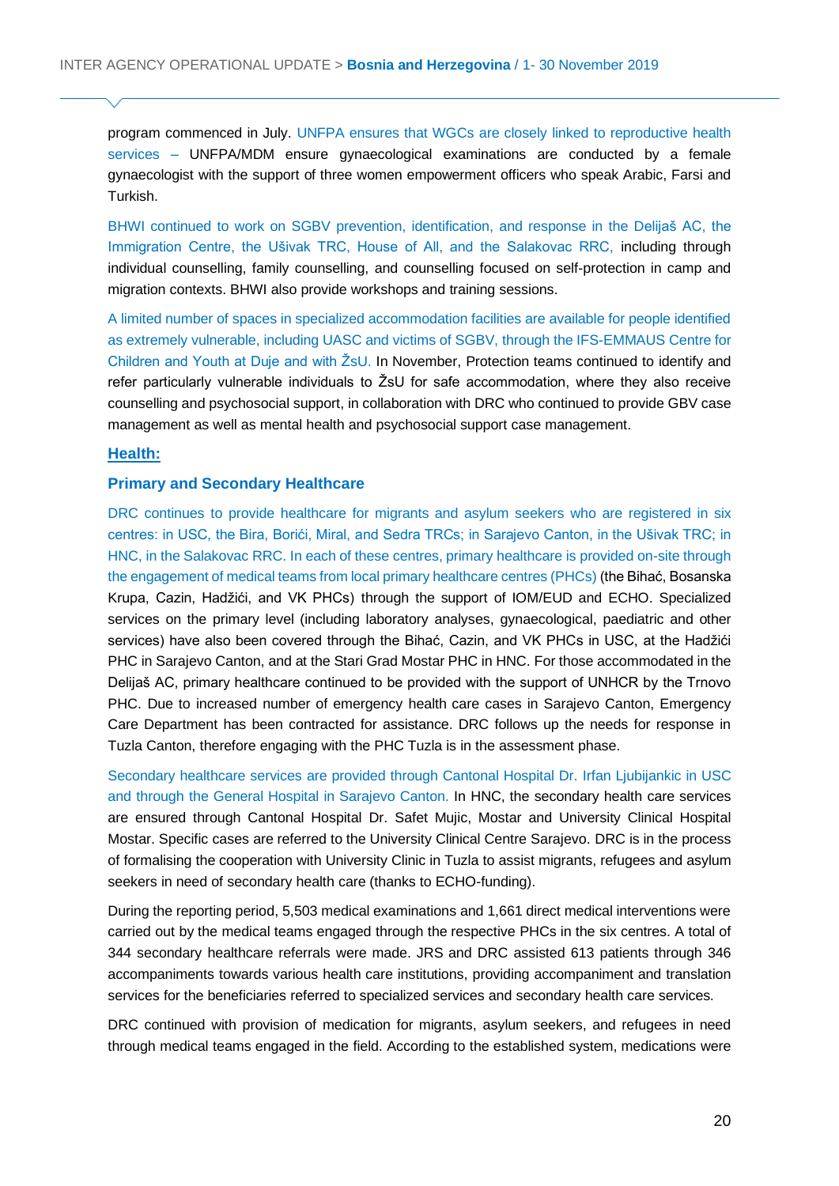program commenced in July. UNFPA ensures that WGCs are closely linked to reproductive health services – UNFPA/MDM ensure gynaecological examinations are conducted by a female gynaecologist with the support of three women empowerment officers who speak Arabic, Farsi and Turkish.

BHWI continued to work on SGBV prevention, identification, and response in the Delijaš AC, the Immigration Centre, the Ušivak TRC, House of All, and the Salakovac RRC, including through individual counselling, family counselling, and counselling focused on self-protection in camp and migration contexts. BHWI also provide workshops and training sessions.

A limited number of spaces in specialized accommodation facilities are available for people identified as extremely vulnerable, including UASC and victims of SGBV, through the IFS-EMMAUS Centre for Children and Youth at Duje and with ŽsU. In November, Protection teams continued to identify and refer particularly vulnerable individuals to ŽsU for safe accommodation, where they also receive counselling and psychosocial support, in collaboration with DRC who continued to provide GBV case management as well as mental health and psychosocial support case management.

#### **Health:**

#### **Primary and Secondary Healthcare**

DRC continues to provide healthcare for migrants and asylum seekers who are registered in six centres: in USC, the Bira, Borići, Miral, and Sedra TRCs; in Sarajevo Canton, in the Ušivak TRC; in HNC, in the Salakovac RRC. In each of these centres, primary healthcare is provided on-site through the engagement of medical teams from local primary healthcare centres (PHCs) (the Bihać, Bosanska Krupa, Cazin, Hadžići, and VK PHCs) through the support of IOM/EUD and ECHO. Specialized services on the primary level (including laboratory analyses, gynaecological, paediatric and other services) have also been covered through the Bihać, Cazin, and VK PHCs in USC, at the Hadžići PHC in Sarajevo Canton, and at the Stari Grad Mostar PHC in HNC. For those accommodated in the Delijaš AC, primary healthcare continued to be provided with the support of UNHCR by the Trnovo PHC. Due to increased number of emergency health care cases in Sarajevo Canton, Emergency Care Department has been contracted for assistance. DRC follows up the needs for response in Tuzla Canton, therefore engaging with the PHC Tuzla is in the assessment phase.

Secondary healthcare services are provided through Cantonal Hospital Dr. Irfan Ljubijankic in USC and through the General Hospital in Sarajevo Canton. In HNC, the secondary health care services are ensured through Cantonal Hospital Dr. Safet Mujic, Mostar and University Clinical Hospital Mostar. Specific cases are referred to the University Clinical Centre Sarajevo. DRC is in the process of formalising the cooperation with University Clinic in Tuzla to assist migrants, refugees and asylum seekers in need of secondary health care (thanks to ECHO-funding).

During the reporting period, 5,503 medical examinations and 1,661 direct medical interventions were carried out by the medical teams engaged through the respective PHCs in the six centres. A total of 344 secondary healthcare referrals were made. JRS and DRC assisted 613 patients through 346 accompaniments towards various health care institutions, providing accompaniment and translation services for the beneficiaries referred to specialized services and secondary health care services.

DRC continued with provision of medication for migrants, asylum seekers, and refugees in need through medical teams engaged in the field. According to the established system, medications were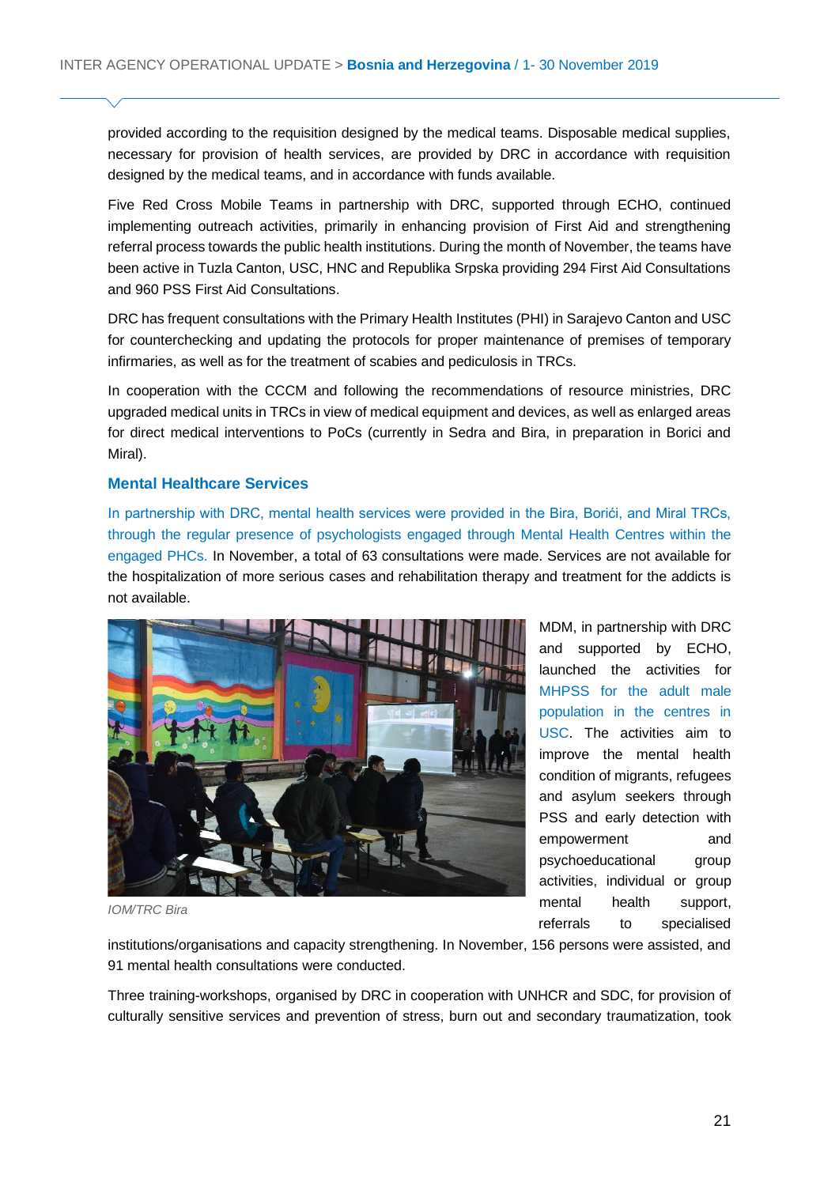provided according to the requisition designed by the medical teams. Disposable medical supplies, necessary for provision of health services, are provided by DRC in accordance with requisition designed by the medical teams, and in accordance with funds available.

Five Red Cross Mobile Teams in partnership with DRC, supported through ECHO, continued implementing outreach activities, primarily in enhancing provision of First Aid and strengthening referral process towards the public health institutions. During the month of November, the teams have been active in Tuzla Canton, USC, HNC and Republika Srpska providing 294 First Aid Consultations and 960 PSS First Aid Consultations.

DRC has frequent consultations with the Primary Health Institutes (PHI) in Sarajevo Canton and USC for counterchecking and updating the protocols for proper maintenance of premises of temporary infirmaries, as well as for the treatment of scabies and pediculosis in TRCs.

In cooperation with the CCCM and following the recommendations of resource ministries, DRC upgraded medical units in TRCs in view of medical equipment and devices, as well as enlarged areas for direct medical interventions to PoCs (currently in Sedra and Bira, in preparation in Borici and Miral).

#### **Mental Healthcare Services**

In partnership with DRC, mental health services were provided in the Bira, Borići, and Miral TRCs, through the regular presence of psychologists engaged through Mental Health Centres within the engaged PHCs. In November, a total of 63 consultations were made. Services are not available for the hospitalization of more serious cases and rehabilitation therapy and treatment for the addicts is not available.



MDM, in partnership with DRC and supported by ECHO, launched the activities for MHPSS for the adult male population in the centres in USC. The activities aim to improve the mental health condition of migrants, refugees and asylum seekers through PSS and early detection with empowerment and psychoeducational group activities, individual or group mental health support, referrals to specialised

*IOM/TRC Bira* 

institutions/organisations and capacity strengthening. In November, 156 persons were assisted, and 91 mental health consultations were conducted.

Three training-workshops, organised by DRC in cooperation with UNHCR and SDC, for provision of culturally sensitive services and prevention of stress, burn out and secondary traumatization, took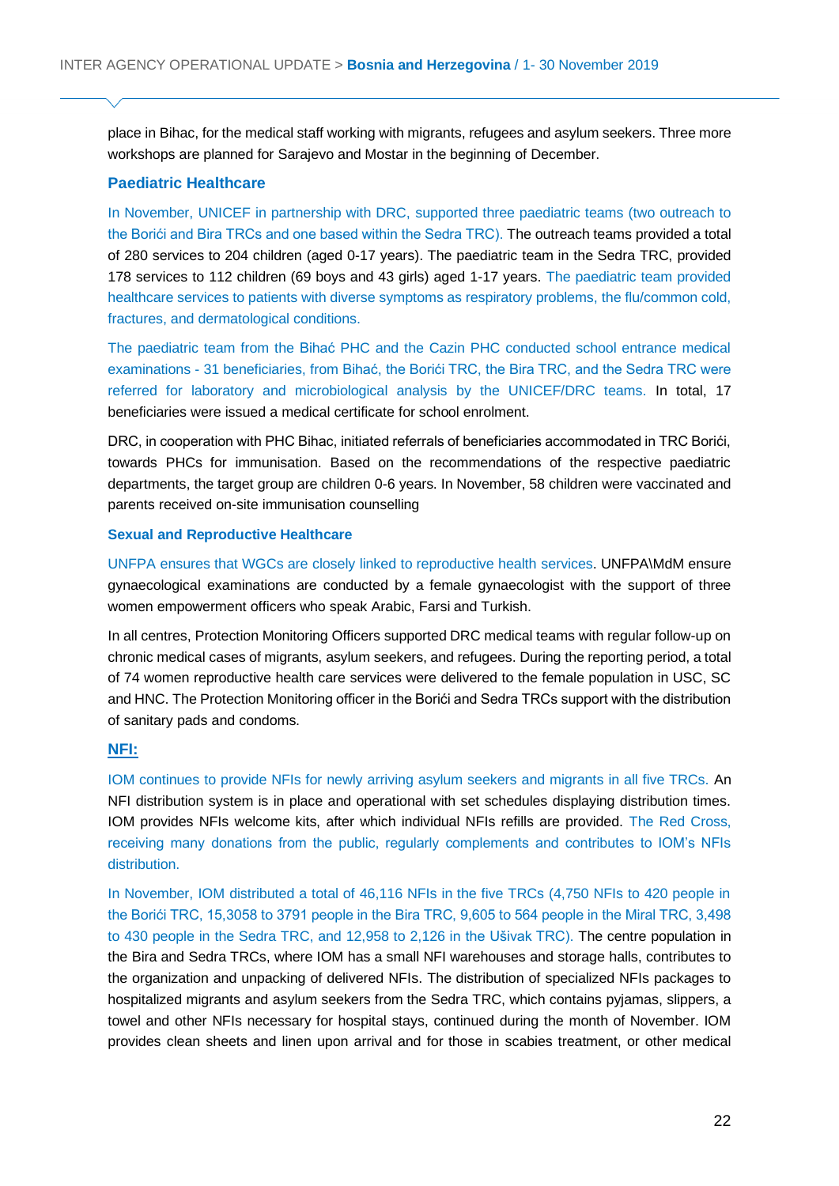place in Bihac, for the medical staff working with migrants, refugees and asylum seekers. Three more workshops are planned for Sarajevo and Mostar in the beginning of December.

#### **Paediatric Healthcare**

In November, UNICEF in partnership with DRC, supported three paediatric teams (two outreach to the Borići and Bira TRCs and one based within the Sedra TRC). The outreach teams provided a total of 280 services to 204 children (aged 0-17 years). The paediatric team in the Sedra TRC, provided 178 services to 112 children (69 boys and 43 girls) aged 1-17 years. The paediatric team provided healthcare services to patients with diverse symptoms as respiratory problems, the flu/common cold, fractures, and dermatological conditions.

The paediatric team from the Bihać PHC and the Cazin PHC conducted school entrance medical examinations - 31 beneficiaries, from Bihać, the Borići TRC, the Bira TRC, and the Sedra TRC were referred for laboratory and microbiological analysis by the UNICEF/DRC teams. In total, 17 beneficiaries were issued a medical certificate for school enrolment.

DRC, in cooperation with PHC Bihac, initiated referrals of beneficiaries accommodated in TRC Borići, towards PHCs for immunisation. Based on the recommendations of the respective paediatric departments, the target group are children 0-6 years. In November, 58 children were vaccinated and parents received on-site immunisation counselling

#### **Sexual and Reproductive Healthcare**

UNFPA ensures that WGCs are closely linked to reproductive health services. UNFPA\MdM ensure gynaecological examinations are conducted by a female gynaecologist with the support of three women empowerment officers who speak Arabic, Farsi and Turkish.

In all centres, Protection Monitoring Officers supported DRC medical teams with regular follow-up on chronic medical cases of migrants, asylum seekers, and refugees. During the reporting period, a total of 74 women reproductive health care services were delivered to the female population in USC, SC and HNC. The Protection Monitoring officer in the Borići and Sedra TRCs support with the distribution of sanitary pads and condoms.

#### **NFI:**

IOM continues to provide NFIs for newly arriving asylum seekers and migrants in all five TRCs. An NFI distribution system is in place and operational with set schedules displaying distribution times. IOM provides NFIs welcome kits, after which individual NFIs refills are provided. The Red Cross, receiving many donations from the public, regularly complements and contributes to IOM's NFIs distribution.

In November, IOM distributed a total of 46,116 NFIs in the five TRCs (4,750 NFIs to 420 people in the Borići TRC, 15,3058 to 3791 people in the Bira TRC, 9,605 to 564 people in the Miral TRC, 3,498 to 430 people in the Sedra TRC, and 12,958 to 2,126 in the Ušivak TRC). The centre population in the Bira and Sedra TRCs, where IOM has a small NFI warehouses and storage halls, contributes to the organization and unpacking of delivered NFIs. The distribution of specialized NFIs packages to hospitalized migrants and asylum seekers from the Sedra TRC, which contains pyjamas, slippers, a towel and other NFIs necessary for hospital stays, continued during the month of November. IOM provides clean sheets and linen upon arrival and for those in scabies treatment, or other medical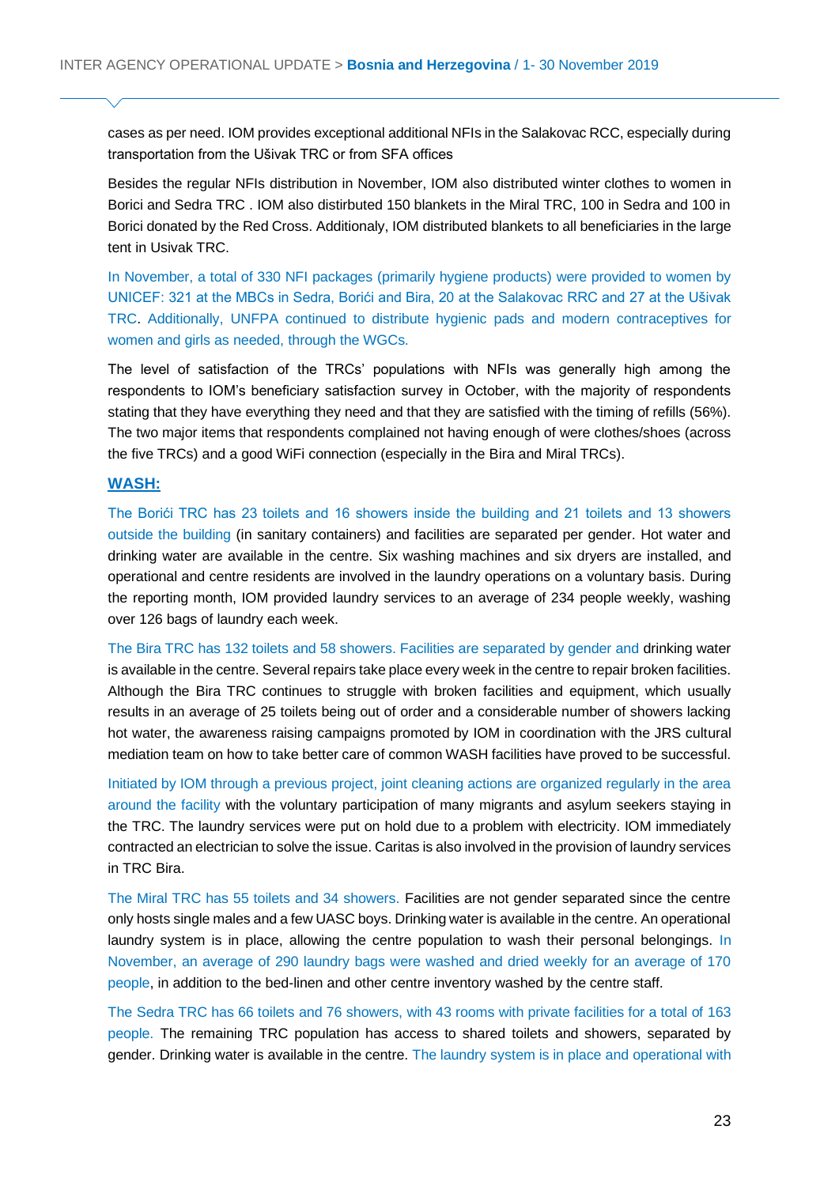cases as per need. IOM provides exceptional additional NFIs in the Salakovac RCC, especially during transportation from the Ušivak TRC or from SFA offices

Besides the regular NFIs distribution in November, IOM also distributed winter clothes to women in Borici and Sedra TRC . IOM also distirbuted 150 blankets in the Miral TRC, 100 in Sedra and 100 in Borici donated by the Red Cross. Additionaly, IOM distributed blankets to all beneficiaries in the large tent in Usivak TRC.

In November, a total of 330 NFI packages (primarily hygiene products) were provided to women by UNICEF: 321 at the MBCs in Sedra, Borići and Bira, 20 at the Salakovac RRC and 27 at the Ušivak TRC. Additionally, UNFPA continued to distribute hygienic pads and modern contraceptives for women and girls as needed, through the WGCs.

The level of satisfaction of the TRCs' populations with NFIs was generally high among the respondents to IOM's beneficiary satisfaction survey in October, with the majority of respondents stating that they have everything they need and that they are satisfied with the timing of refills (56%). The two major items that respondents complained not having enough of were clothes/shoes (across the five TRCs) and a good WiFi connection (especially in the Bira and Miral TRCs).

#### **WASH:**

The Borići TRC has 23 toilets and 16 showers inside the building and 21 toilets and 13 showers outside the building (in sanitary containers) and facilities are separated per gender. Hot water and drinking water are available in the centre. Six washing machines and six dryers are installed, and operational and centre residents are involved in the laundry operations on a voluntary basis. During the reporting month, IOM provided laundry services to an average of 234 people weekly, washing over 126 bags of laundry each week.

The Bira TRC has 132 toilets and 58 showers. Facilities are separated by gender and drinking water is available in the centre. Several repairs take place every week in the centre to repair broken facilities. Although the Bira TRC continues to struggle with broken facilities and equipment, which usually results in an average of 25 toilets being out of order and a considerable number of showers lacking hot water, the awareness raising campaigns promoted by IOM in coordination with the JRS cultural mediation team on how to take better care of common WASH facilities have proved to be successful.

Initiated by IOM through a previous project, joint cleaning actions are organized regularly in the area around the facility with the voluntary participation of many migrants and asylum seekers staying in the TRC. The laundry services were put on hold due to a problem with electricity. IOM immediately contracted an electrician to solve the issue. Caritas is also involved in the provision of laundry services in TRC Bira.

The Miral TRC has 55 toilets and 34 showers. Facilities are not gender separated since the centre only hosts single males and a few UASC boys. Drinking water is available in the centre. An operational laundry system is in place, allowing the centre population to wash their personal belongings. In November, an average of 290 laundry bags were washed and dried weekly for an average of 170 people, in addition to the bed-linen and other centre inventory washed by the centre staff.

The Sedra TRC has 66 toilets and 76 showers, with 43 rooms with private facilities for a total of 163 people. The remaining TRC population has access to shared toilets and showers, separated by gender. Drinking water is available in the centre. The laundry system is in place and operational with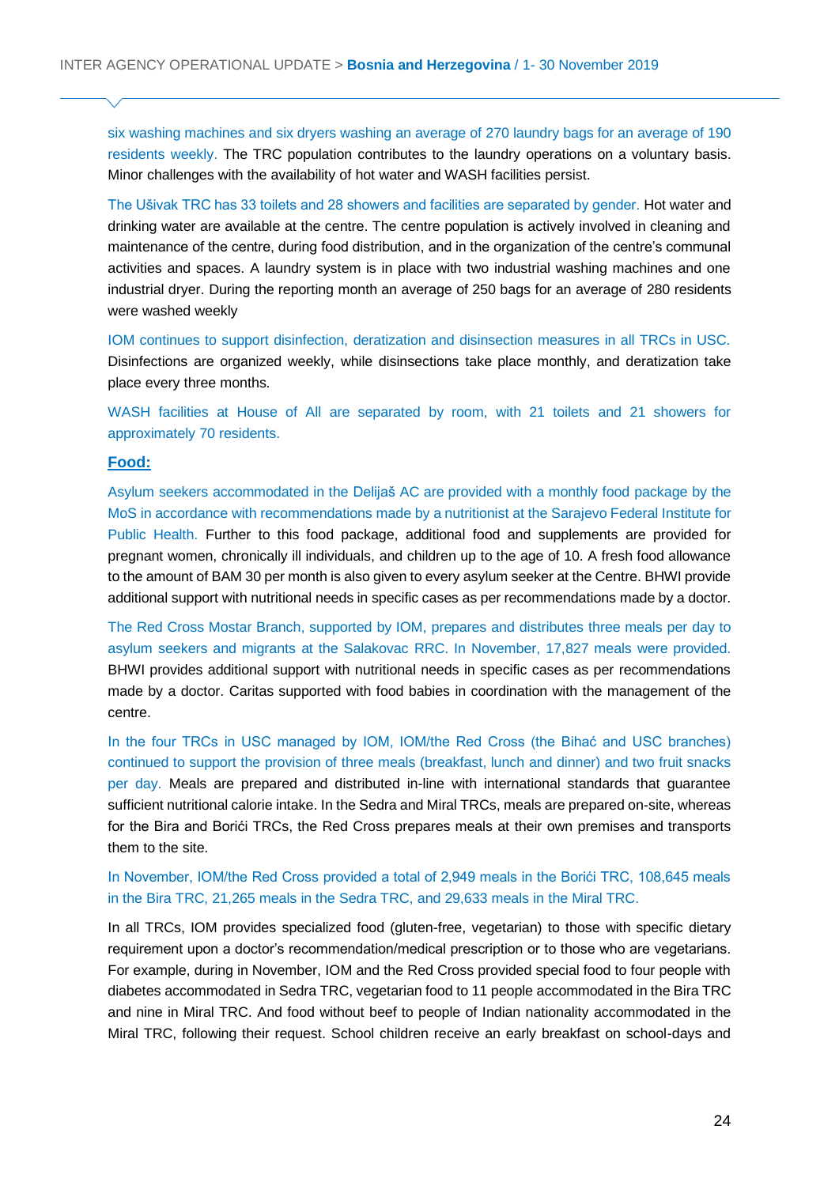six washing machines and six dryers washing an average of 270 laundry bags for an average of 190 residents weekly. The TRC population contributes to the laundry operations on a voluntary basis. Minor challenges with the availability of hot water and WASH facilities persist.

The Ušivak TRC has 33 toilets and 28 showers and facilities are separated by gender. Hot water and drinking water are available at the centre. The centre population is actively involved in cleaning and maintenance of the centre, during food distribution, and in the organization of the centre's communal activities and spaces. A laundry system is in place with two industrial washing machines and one industrial dryer. During the reporting month an average of 250 bags for an average of 280 residents were washed weekly

IOM continues to support disinfection, deratization and disinsection measures in all TRCs in USC. Disinfections are organized weekly, while disinsections take place monthly, and deratization take place every three months.

WASH facilities at House of All are separated by room, with 21 toilets and 21 showers for approximately 70 residents.

#### **Food:**

Asylum seekers accommodated in the Delijaš AC are provided with a monthly food package by the MoS in accordance with recommendations made by a nutritionist at the Sarajevo Federal Institute for Public Health. Further to this food package, additional food and supplements are provided for pregnant women, chronically ill individuals, and children up to the age of 10. A fresh food allowance to the amount of BAM 30 per month is also given to every asylum seeker at the Centre. BHWI provide additional support with nutritional needs in specific cases as per recommendations made by a doctor.

The Red Cross Mostar Branch, supported by IOM, prepares and distributes three meals per day to asylum seekers and migrants at the Salakovac RRC. In November, 17,827 meals were provided. BHWI provides additional support with nutritional needs in specific cases as per recommendations made by a doctor. Caritas supported with food babies in coordination with the management of the centre.

In the four TRCs in USC managed by IOM, IOM/the Red Cross (the Bihać and USC branches) continued to support the provision of three meals (breakfast, lunch and dinner) and two fruit snacks per day. Meals are prepared and distributed in-line with international standards that guarantee sufficient nutritional calorie intake. In the Sedra and Miral TRCs, meals are prepared on-site, whereas for the Bira and Borići TRCs, the Red Cross prepares meals at their own premises and transports them to the site.

In November, IOM/the Red Cross provided a total of 2,949 meals in the Borići TRC, 108,645 meals in the Bira TRC, 21,265 meals in the Sedra TRC, and 29,633 meals in the Miral TRC.

In all TRCs, IOM provides specialized food (gluten-free, vegetarian) to those with specific dietary requirement upon a doctor's recommendation/medical prescription or to those who are vegetarians. For example, during in November, IOM and the Red Cross provided special food to four people with diabetes accommodated in Sedra TRC, vegetarian food to 11 people accommodated in the Bira TRC and nine in Miral TRC. And food without beef to people of Indian nationality accommodated in the Miral TRC, following their request. School children receive an early breakfast on school-days and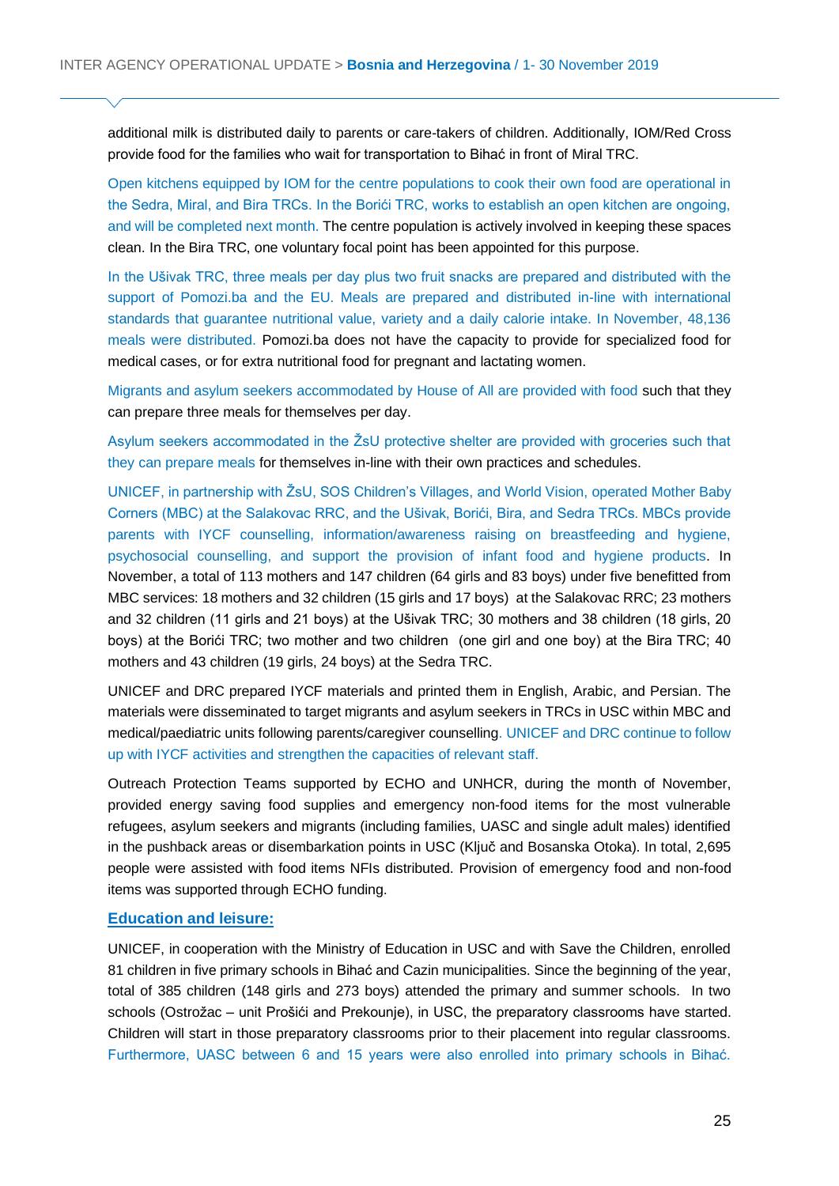additional milk is distributed daily to parents or care-takers of children. Additionally, IOM/Red Cross provide food for the families who wait for transportation to Bihać in front of Miral TRC.

Open kitchens equipped by IOM for the centre populations to cook their own food are operational in the Sedra, Miral, and Bira TRCs. In the Borići TRC, works to establish an open kitchen are ongoing, and will be completed next month. The centre population is actively involved in keeping these spaces clean. In the Bira TRC, one voluntary focal point has been appointed for this purpose.

In the Ušivak TRC, three meals per day plus two fruit snacks are prepared and distributed with the support of Pomozi.ba and the EU. Meals are prepared and distributed in-line with international standards that guarantee nutritional value, variety and a daily calorie intake. In November, 48,136 meals were distributed. Pomozi.ba does not have the capacity to provide for specialized food for medical cases, or for extra nutritional food for pregnant and lactating women.

Migrants and asylum seekers accommodated by House of All are provided with food such that they can prepare three meals for themselves per day.

Asylum seekers accommodated in the ŽsU protective shelter are provided with groceries such that they can prepare meals for themselves in-line with their own practices and schedules.

UNICEF, in partnership with ŽsU, SOS Children's Villages, and World Vision, operated Mother Baby Corners (MBC) at the Salakovac RRC, and the Ušivak, Borići, Bira, and Sedra TRCs. MBCs provide parents with IYCF counselling, information/awareness raising on breastfeeding and hygiene, psychosocial counselling, and support the provision of infant food and hygiene products. In November, a total of 113 mothers and 147 children (64 girls and 83 boys) under five benefitted from MBC services: 18 mothers and 32 children (15 girls and 17 boys) at the Salakovac RRC; 23 mothers and 32 children (11 girls and 21 boys) at the Ušivak TRC; 30 mothers and 38 children (18 girls, 20 boys) at the Borići TRC; two mother and two children (one girl and one boy) at the Bira TRC; 40 mothers and 43 children (19 girls, 24 boys) at the Sedra TRC.

UNICEF and DRC prepared IYCF materials and printed them in English, Arabic, and Persian. The materials were disseminated to target migrants and asylum seekers in TRCs in USC within MBC and medical/paediatric units following parents/caregiver counselling. UNICEF and DRC continue to follow up with IYCF activities and strengthen the capacities of relevant staff.

Outreach Protection Teams supported by ECHO and UNHCR, during the month of November, provided energy saving food supplies and emergency non-food items for the most vulnerable refugees, asylum seekers and migrants (including families, UASC and single adult males) identified in the pushback areas or disembarkation points in USC (Ključ and Bosanska Otoka). In total, 2,695 people were assisted with food items NFIs distributed. Provision of emergency food and non-food items was supported through ECHO funding.

#### **Education and leisure:**

UNICEF, in cooperation with the Ministry of Education in USC and with Save the Children, enrolled 81 children in five primary schools in Bihać and Cazin municipalities. Since the beginning of the year, total of 385 children (148 girls and 273 boys) attended the primary and summer schools. In two schools (Ostrožac – unit Prošići and Prekounje), in USC, the preparatory classrooms have started. Children will start in those preparatory classrooms prior to their placement into regular classrooms. Furthermore, UASC between 6 and 15 years were also enrolled into primary schools in Bihać.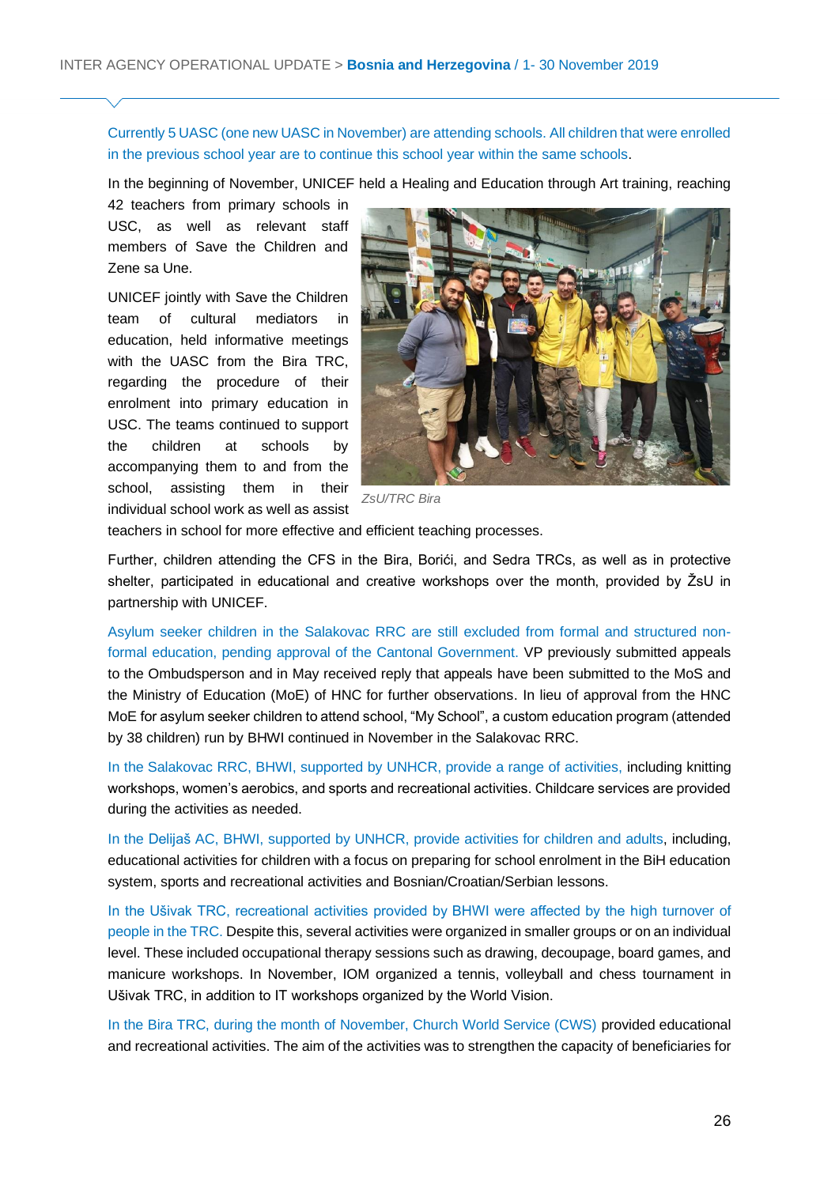Currently 5 UASC (one new UASC in November) are attending schools. All children that were enrolled in the previous school year are to continue this school year within the same schools.

In the beginning of November, UNICEF held a Healing and Education through Art training, reaching

42 teachers from primary schools in USC, as well as relevant staff members of Save the Children and Zene sa Une.

UNICEF jointly with Save the Children team of cultural mediators in education, held informative meetings with the UASC from the Bira TRC, regarding the procedure of their enrolment into primary education in USC. The teams continued to support the children at schools by accompanying them to and from the school, assisting them in their individual school work as well as assist



*ZsU/TRC Bira* 

teachers in school for more effective and efficient teaching processes.

Further, children attending the CFS in the Bira, Borići, and Sedra TRCs, as well as in protective shelter, participated in educational and creative workshops over the month, provided by ŽsU in partnership with UNICEF.

Asylum seeker children in the Salakovac RRC are still excluded from formal and structured nonformal education, pending approval of the Cantonal Government. VP previously submitted appeals to the Ombudsperson and in May received reply that appeals have been submitted to the MoS and the Ministry of Education (MoE) of HNC for further observations. In lieu of approval from the HNC MoE for asylum seeker children to attend school, "My School", a custom education program (attended by 38 children) run by BHWI continued in November in the Salakovac RRC.

In the Salakovac RRC, BHWI, supported by UNHCR, provide a range of activities, including knitting workshops, women's aerobics, and sports and recreational activities. Childcare services are provided during the activities as needed.

In the Delijaš AC, BHWI, supported by UNHCR, provide activities for children and adults, including, educational activities for children with a focus on preparing for school enrolment in the BiH education system, sports and recreational activities and Bosnian/Croatian/Serbian lessons.

In the Ušivak TRC, recreational activities provided by BHWI were affected by the high turnover of people in the TRC. Despite this, several activities were organized in smaller groups or on an individual level. These included occupational therapy sessions such as drawing, decoupage, board games, and manicure workshops. In November, IOM organized a tennis, volleyball and chess tournament in Ušivak TRC, in addition to IT workshops organized by the World Vision.

In the Bira TRC, during the month of November, Church World Service (CWS) provided educational and recreational activities. The aim of the activities was to strengthen the capacity of beneficiaries for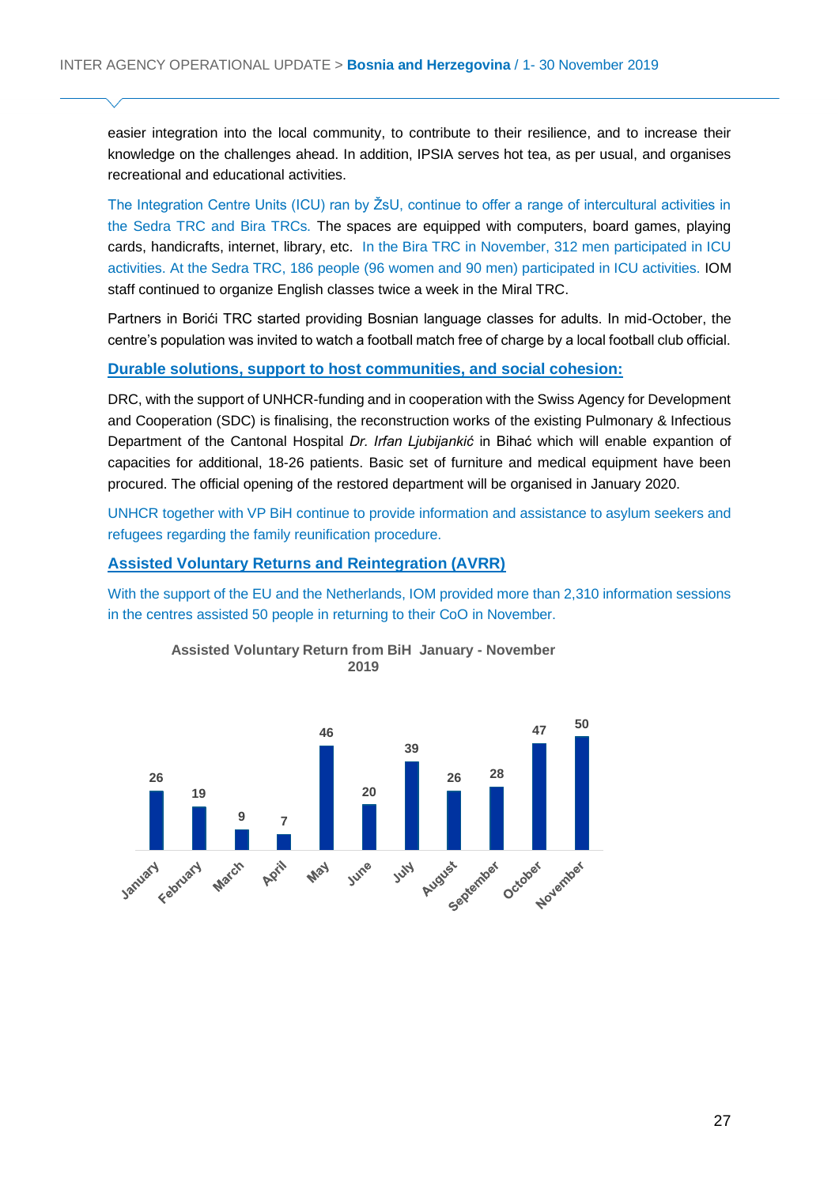easier integration into the local community, to contribute to their resilience, and to increase their knowledge on the challenges ahead. In addition, IPSIA serves hot tea, as per usual, and organises recreational and educational activities.

The Integration Centre Units (ICU) ran by ŽsU, continue to offer a range of intercultural activities in the Sedra TRC and Bira TRCs. The spaces are equipped with computers, board games, playing cards, handicrafts, internet, library, etc. In the Bira TRC in November, 312 men participated in ICU activities. At the Sedra TRC, 186 people (96 women and 90 men) participated in ICU activities. IOM staff continued to organize English classes twice a week in the Miral TRC.

Partners in Borići TRC started providing Bosnian language classes for adults. In mid-October, the centre's population was invited to watch a football match free of charge by a local football club official.

#### **Durable solutions, support to host communities, and social cohesion:**

DRC, with the support of UNHCR-funding and in cooperation with the Swiss Agency for Development and Cooperation (SDC) is finalising, the reconstruction works of the existing Pulmonary & Infectious Department of the Cantonal Hospital *Dr. Irfan Ljubijankić* in Bihać which will enable expantion of capacities for additional, 18-26 patients. Basic set of furniture and medical equipment have been procured. The official opening of the restored department will be organised in January 2020.

UNHCR together with VP BiH continue to provide information and assistance to asylum seekers and refugees regarding the family reunification procedure.

#### **Assisted Voluntary Returns and Reintegration (AVRR)**

With the support of the EU and the Netherlands, IOM provided more than 2,310 information sessions in the centres assisted 50 people in returning to their CoO in November.



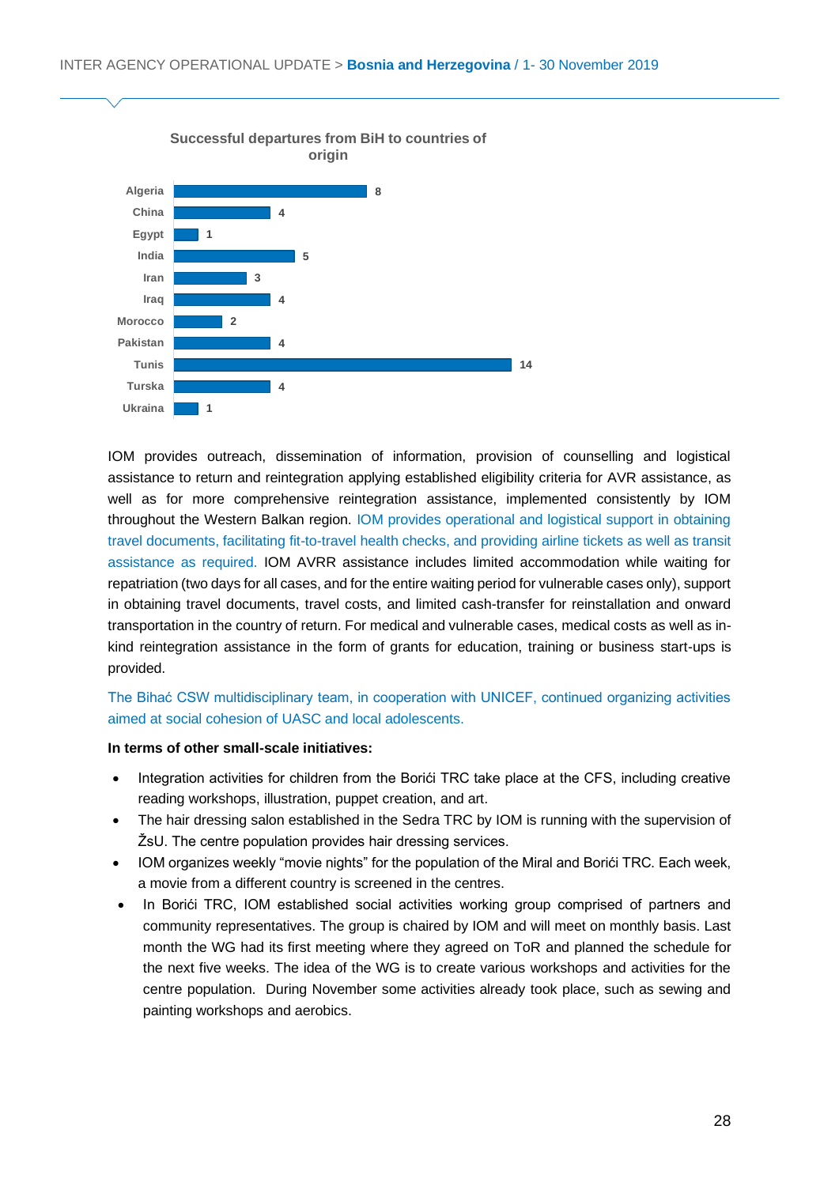

IOM provides outreach, dissemination of information, provision of counselling and logistical assistance to return and reintegration applying established eligibility criteria for AVR assistance, as well as for more comprehensive reintegration assistance, implemented consistently by IOM throughout the Western Balkan region. IOM provides operational and logistical support in obtaining travel documents, facilitating fit-to-travel health checks, and providing airline tickets as well as transit assistance as required. IOM AVRR assistance includes limited accommodation while waiting for repatriation (two days for all cases, and for the entire waiting period for vulnerable cases only), support in obtaining travel documents, travel costs, and limited cash-transfer for reinstallation and onward transportation in the country of return. For medical and vulnerable cases, medical costs as well as inkind reintegration assistance in the form of grants for education, training or business start-ups is provided.

#### The Bihać CSW multidisciplinary team, in cooperation with UNICEF, continued organizing activities aimed at social cohesion of UASC and local adolescents.

#### **In terms of other small-scale initiatives:**

- Integration activities for children from the Borići TRC take place at the CFS, including creative reading workshops, illustration, puppet creation, and art.
- The hair dressing salon established in the Sedra TRC by IOM is running with the supervision of ŽsU. The centre population provides hair dressing services.
- IOM organizes weekly "movie nights" for the population of the Miral and Borići TRC. Each week, a movie from a different country is screened in the centres.
- In Borići TRC, IOM established social activities working group comprised of partners and community representatives. The group is chaired by IOM and will meet on monthly basis. Last month the WG had its first meeting where they agreed on ToR and planned the schedule for the next five weeks. The idea of the WG is to create various workshops and activities for the centre population. During November some activities already took place, such as sewing and painting workshops and aerobics.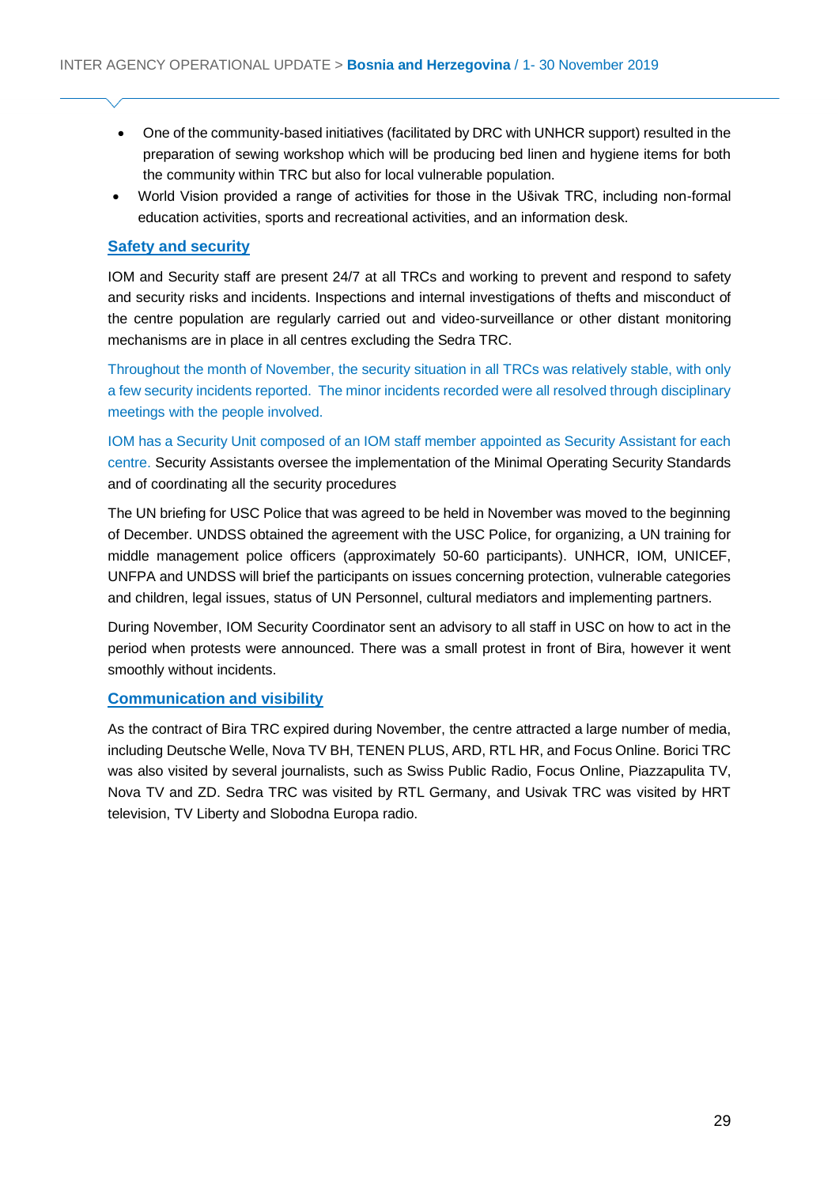- One of the community-based initiatives (facilitated by DRC with UNHCR support) resulted in the preparation of sewing workshop which will be producing bed linen and hygiene items for both the community within TRC but also for local vulnerable population.
- World Vision provided a range of activities for those in the Ušivak TRC, including non-formal education activities, sports and recreational activities, and an information desk.

#### **Safety and security**

IOM and Security staff are present 24/7 at all TRCs and working to prevent and respond to safety and security risks and incidents. Inspections and internal investigations of thefts and misconduct of the centre population are regularly carried out and video-surveillance or other distant monitoring mechanisms are in place in all centres excluding the Sedra TRC.

Throughout the month of November, the security situation in all TRCs was relatively stable, with only a few security incidents reported. The minor incidents recorded were all resolved through disciplinary meetings with the people involved.

IOM has a Security Unit composed of an IOM staff member appointed as Security Assistant for each centre. Security Assistants oversee the implementation of the Minimal Operating Security Standards and of coordinating all the security procedures

The UN briefing for USC Police that was agreed to be held in November was moved to the beginning of December. UNDSS obtained the agreement with the USC Police, for organizing, a UN training for middle management police officers (approximately 50-60 participants). UNHCR, IOM, UNICEF, UNFPA and UNDSS will brief the participants on issues concerning protection, vulnerable categories and children, legal issues, status of UN Personnel, cultural mediators and implementing partners.

During November, IOM Security Coordinator sent an advisory to all staff in USC on how to act in the period when protests were announced. There was a small protest in front of Bira, however it went smoothly without incidents.

#### **Communication and visibility**

As the contract of Bira TRC expired during November, the centre attracted a large number of media, including Deutsche Welle, Nova TV BH, TENEN PLUS, ARD, RTL HR, and Focus Online. Borici TRC was also visited by several journalists, such as Swiss Public Radio, Focus Online, Piazzapulita TV, Nova TV and ZD. Sedra TRC was visited by RTL Germany, and Usivak TRC was visited by HRT television, TV Liberty and Slobodna Europa radio.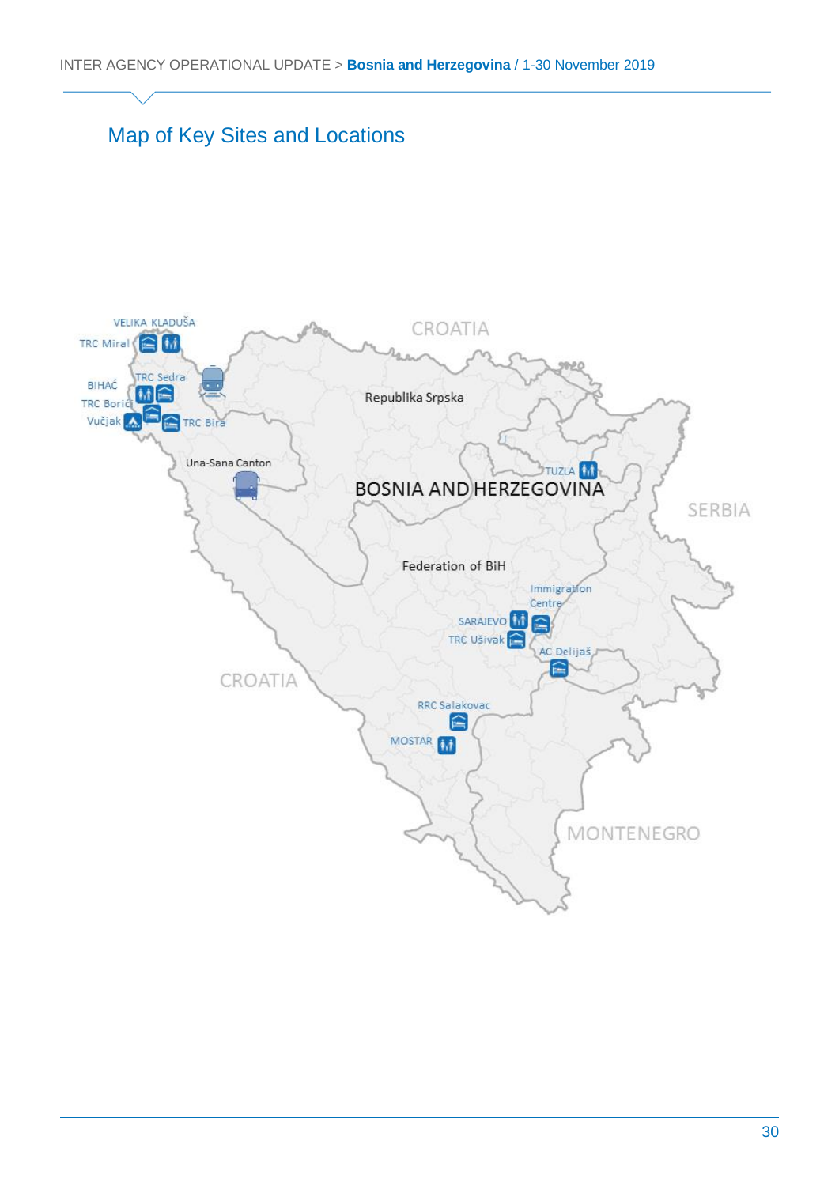### Map of Key Sites and Locations

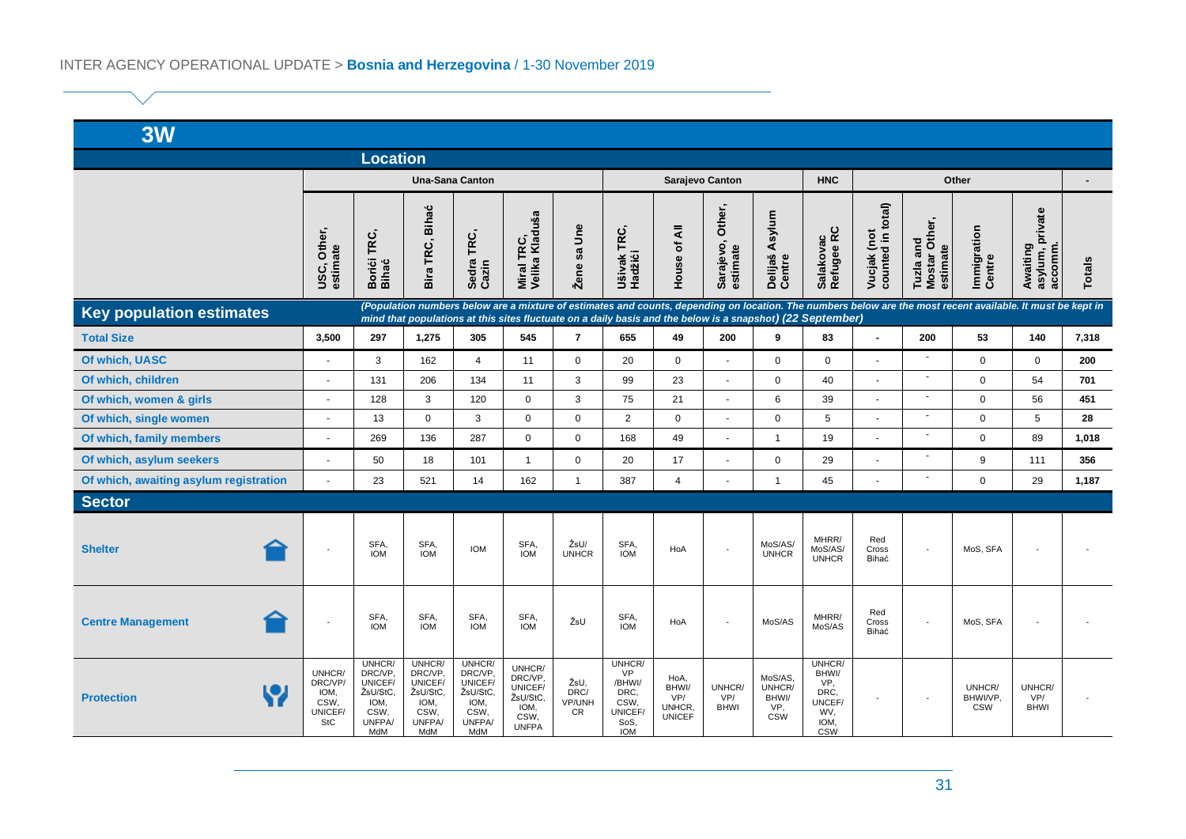| 3W                                                                                                                                                                                                                                                                                                           |                                                            |                                                                           |                                                                           |                                                                           |                                                                          |                                     |                                                                                |                                                 |                                 |                                                 |                                                                       |                                  |                                        |                                  |                                        |               |
|--------------------------------------------------------------------------------------------------------------------------------------------------------------------------------------------------------------------------------------------------------------------------------------------------------------|------------------------------------------------------------|---------------------------------------------------------------------------|---------------------------------------------------------------------------|---------------------------------------------------------------------------|--------------------------------------------------------------------------|-------------------------------------|--------------------------------------------------------------------------------|-------------------------------------------------|---------------------------------|-------------------------------------------------|-----------------------------------------------------------------------|----------------------------------|----------------------------------------|----------------------------------|----------------------------------------|---------------|
| <b>Location</b>                                                                                                                                                                                                                                                                                              |                                                            |                                                                           |                                                                           |                                                                           |                                                                          |                                     |                                                                                |                                                 |                                 |                                                 |                                                                       |                                  |                                        |                                  |                                        |               |
|                                                                                                                                                                                                                                                                                                              | <b>Una-Sana Canton</b>                                     |                                                                           |                                                                           |                                                                           | Sarajevo Canton                                                          |                                     |                                                                                |                                                 |                                 | <b>HNC</b>                                      | Other                                                                 |                                  |                                        |                                  |                                        |               |
|                                                                                                                                                                                                                                                                                                              | USC, Other,<br>estimate                                    | Borići TRC,<br>Bihać                                                      | <b>Bihać</b><br>Bira TRC,                                                 | Sedra TRC,<br>Cazin                                                       | Miral TRC,<br>Velika Kladuša                                             | Žene sa Une                         | Ušivak TRC,<br>Hadžići                                                         | <b>House of All</b>                             | Other,<br>Sarajevo,<br>estimate | Asylum<br>Delijaš<br>Centre                     | Salakovac<br>Refugee RC                                               | counted in total)<br>Vucjak (not | Tuzla and<br>Mostar Other,<br>estimate | Immigration<br>Centre            | Awaiting<br>asylum, private<br>accomm. | <b>Totals</b> |
| (Population numbers below are a mixture of estimates and counts, depending on location. The numbers below are the most recent available. It must be kept in<br><b>Key population estimates</b><br>mind that populations at this sites fluctuate on a daily basis and the below is a snapshot) (22 September) |                                                            |                                                                           |                                                                           |                                                                           |                                                                          |                                     |                                                                                |                                                 |                                 |                                                 |                                                                       |                                  |                                        |                                  |                                        |               |
| <b>Total Size</b>                                                                                                                                                                                                                                                                                            | 3,500                                                      | 297                                                                       | 1,275                                                                     | 305                                                                       | 545                                                                      | $\overline{7}$                      | 655                                                                            | 49                                              | 200                             | 9                                               | 83                                                                    | $\overline{\phantom{a}}$         | 200                                    | 53                               | 140                                    | 7,318         |
| Of which, UASC                                                                                                                                                                                                                                                                                               | $\overline{\phantom{a}}$                                   | 3                                                                         | 162                                                                       | $\overline{4}$                                                            | 11                                                                       | $\Omega$                            | 20                                                                             | $\mathbf 0$                                     | $\sim$                          | $\Omega$                                        | $\mathbf 0$                                                           |                                  | $\blacksquare$                         | $\Omega$                         | $\Omega$                               | 200           |
| Of which, children                                                                                                                                                                                                                                                                                           | $\blacksquare$                                             | 131                                                                       | 206                                                                       | 134                                                                       | 11                                                                       | 3                                   | 99                                                                             | 23                                              | $\bar{\phantom{a}}$             | $\mathbf 0$                                     | 40                                                                    | $\mathbf{r}$                     | $\blacksquare$                         | $\mathbf 0$                      | 54                                     | 701           |
| Of which, women & girls                                                                                                                                                                                                                                                                                      | ٠                                                          | 128                                                                       | 3                                                                         | 120                                                                       | $\mathbf 0$                                                              | 3                                   | 75                                                                             | 21                                              | $\overline{a}$                  | 6                                               | 39                                                                    |                                  | $\blacksquare$                         | $\mathbf 0$                      | 56                                     | 451           |
| Of which, single women                                                                                                                                                                                                                                                                                       | $\overline{\phantom{a}}$                                   | 13                                                                        | $\mathbf 0$                                                               | 3                                                                         | $\mathbf 0$                                                              | $\mathbf 0$                         | $\overline{2}$                                                                 | $\mathbf 0$                                     | $\blacksquare$                  | $\mathbf 0$                                     | 5                                                                     |                                  | ä,                                     | $\mathbf 0$                      | 5                                      | 28            |
| Of which, family members                                                                                                                                                                                                                                                                                     | ٠                                                          | 269                                                                       | 136                                                                       | 287                                                                       | $\mathbf 0$                                                              | $\mathbf 0$                         | 168                                                                            | 49                                              | ÷,                              | $\overline{1}$                                  | 19                                                                    |                                  | ٠                                      | $\mathbf 0$                      | 89                                     | 1,018         |
| Of which, asylum seekers                                                                                                                                                                                                                                                                                     | ÷,                                                         | 50                                                                        | 18                                                                        | 101                                                                       | $\overline{1}$                                                           | $\mathbf 0$                         | 20                                                                             | 17                                              | $\blacksquare$                  | $\mathbf 0$                                     | 29                                                                    |                                  | $\overline{\phantom{a}}$               | 9                                | 111                                    | 356           |
| Of which, awaiting asylum registration                                                                                                                                                                                                                                                                       |                                                            | 23                                                                        | 521                                                                       | 14                                                                        | 162                                                                      | $\mathbf{1}$                        | 387                                                                            | $\overline{4}$                                  | $\overline{a}$                  | $\mathbf{1}$                                    | 45                                                                    |                                  | ä,                                     | $\Omega$                         | 29                                     | 1,187         |
| <b>Sector</b>                                                                                                                                                                                                                                                                                                |                                                            |                                                                           |                                                                           |                                                                           |                                                                          |                                     |                                                                                |                                                 |                                 |                                                 |                                                                       |                                  |                                        |                                  |                                        |               |
| <b>Shelter</b>                                                                                                                                                                                                                                                                                               | $\blacksquare$                                             | SFA,<br><b>IOM</b>                                                        | SFA,<br><b>IOM</b>                                                        | <b>IOM</b>                                                                | SFA,<br><b>IOM</b>                                                       | ŽsU/<br><b>UNHCR</b>                | SFA,<br><b>IOM</b>                                                             | HoA                                             | $\sim$                          | MoS/AS/<br><b>UNHCR</b>                         | MHRR/<br>MoS/AS/<br><b>UNHCR</b>                                      | Red<br>Cross<br>Bihać            |                                        | MoS, SFA                         |                                        |               |
| ≏<br><b>Centre Management</b>                                                                                                                                                                                                                                                                                | $\blacksquare$                                             | SFA,<br><b>IOM</b>                                                        | SFA,<br><b>IOM</b>                                                        | SFA,<br><b>IOM</b>                                                        | SFA,<br><b>IOM</b>                                                       | ŽsU                                 | SFA,<br><b>IOM</b>                                                             | HoA                                             | $\blacksquare$                  | MoS/AS                                          | MHRR/<br>MoS/AS                                                       | Red<br>Cross<br>Bihać            | $\blacksquare$                         | MoS, SFA                         |                                        |               |
| <b>Protection</b>                                                                                                                                                                                                                                                                                            | UNHCR/<br>DRC/VP/<br>IOM,<br>CSW,<br>UNICEF/<br><b>StC</b> | UNHCR/<br>DRC/VP.<br>UNICEF/<br>ŽsU/StC.<br>IOM,<br>CSW,<br>UNFPA/<br>MdM | UNHCR/<br>DRC/VP.<br>UNICEF/<br>ŽsU/StC,<br>IOM,<br>CSW,<br>UNFPA/<br>MdM | UNHCR/<br>DRC/VP,<br>UNICEF/<br>ŽsU/StC,<br>IOM,<br>CSW,<br>UNFPA/<br>MdM | UNHCR/<br>DRC/VP,<br>UNICEF/<br>ŽsU/StC.<br>IOM,<br>CSW,<br><b>UNFPA</b> | ŽsU,<br>DRC/<br>VP/UNH<br><b>CR</b> | UNHCR/<br><b>VP</b><br>/BHWI/<br>DRC.<br>CSW,<br>UNICEF/<br>SoS,<br><b>IOM</b> | HoA,<br>BHWI/<br>VP/<br>UNHCR,<br><b>UNICEF</b> | UNHCR/<br>VP/<br><b>BHWI</b>    | MoS/AS,<br>UNHCR/<br>BHWI/<br>VP.<br><b>CSW</b> | UNHCR/<br>BHWI/<br>VP.<br>DRC,<br>UNCEF/<br>WV.<br>IOM,<br><b>CSW</b> |                                  | $\sim$                                 | UNHCR/<br>BHWI/VP.<br><b>CSW</b> | UNHCR/<br>VP/<br><b>BHWI</b>           |               |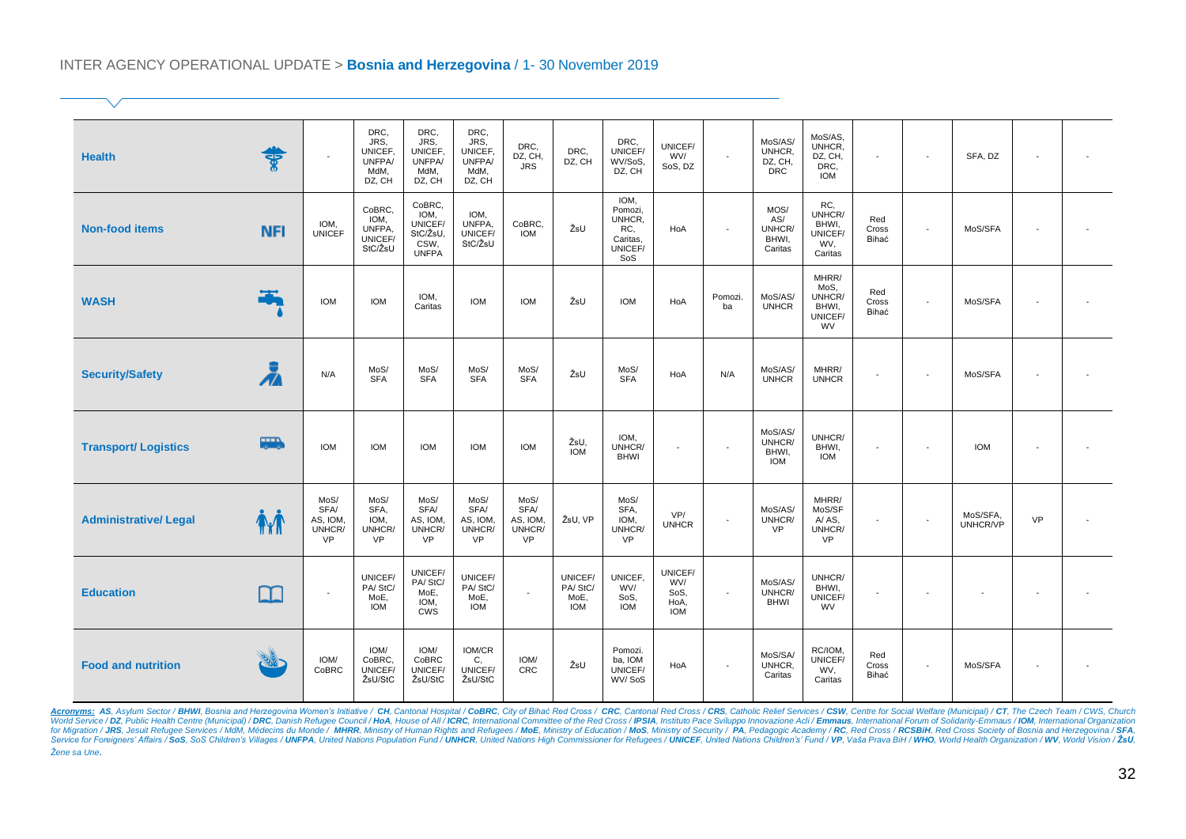#### INTER AGENCY OPERATIONAL UPDATE > **Bosnia and Herzegovina** / 1- 30 November 2019

| <b>Health</b>               | ङ्क         | $\blacksquare$                                  | DRC,<br>JRS.<br>UNICEF.<br>UNFPA/<br>MdM,<br>DZ, CH | DRC,<br>JRS,<br>UNICEF.<br>UNFPA/<br>MdM,<br>DZ, CH           | DRC,<br>JRS.<br>UNICEF,<br>UNFPA/<br>MdM,<br>DZ, CH    | DRC,<br>DZ, CH,<br><b>JRS</b>                   | DRC,<br>DZ, CH                           | DRC,<br>UNICEF/<br>WV/SoS,<br>DZ, CH                          | UNICEF/<br>WV/<br>SoS, DZ                    | $\sim$         | MoS/AS/<br>UNHCR,<br>DZ, CH,<br><b>DRC</b> | MoS/AS,<br>UNHCR,<br>DZ, CH,<br>DRC.<br><b>IOM</b>       | $\sim$                   | $\overline{\phantom{a}}$ | SFA, DZ                  |           |  |
|-----------------------------|-------------|-------------------------------------------------|-----------------------------------------------------|---------------------------------------------------------------|--------------------------------------------------------|-------------------------------------------------|------------------------------------------|---------------------------------------------------------------|----------------------------------------------|----------------|--------------------------------------------|----------------------------------------------------------|--------------------------|--------------------------|--------------------------|-----------|--|
| <b>Non-food items</b>       | <b>NFI</b>  | IOM,<br><b>UNICEF</b>                           | CoBRC,<br>IOM,<br>UNFPA,<br>UNICEF/<br>StC/ŽsU      | CoBRC,<br>IOM,<br>UNICEF/<br>StC/ŽsU,<br>CSW,<br><b>UNFPA</b> | IOM.<br>UNFPA,<br>UNICEF/<br>StC/ŽsU                   | CoBRC,<br><b>IOM</b>                            | ŽsU                                      | IOM,<br>Pomozi,<br>UNHCR,<br>RC<br>Caritas,<br>UNICEF/<br>SoS | HoA                                          | $\overline{a}$ | MOS/<br>AS/<br>UNHCR/<br>BHWI,<br>Caritas  | RC,<br>UNHCR/<br>BHWI,<br>UNICEF/<br>WV,<br>Caritas      | Red<br>Cross<br>Bihać    | $\overline{\phantom{a}}$ | MoS/SFA                  |           |  |
| <b>WASH</b>                 | Ŧ           | <b>IOM</b>                                      | <b>IOM</b>                                          | IOM.<br>Caritas                                               | <b>IOM</b>                                             | <b>IOM</b>                                      | ŽsU                                      | <b>IOM</b>                                                    | HoA                                          | Pomozi.<br>ba  | MoS/AS/<br><b>UNHCR</b>                    | MHRR/<br>MoS,<br>UNHCR/<br>BHWI,<br>UNICEF/<br><b>WV</b> | Red<br>Cross<br>Bihać    | $\overline{\phantom{a}}$ | MoS/SFA                  |           |  |
| <b>Security/Safety</b>      | Ā           | N/A                                             | MoS/<br><b>SFA</b>                                  | MoS/<br><b>SFA</b>                                            | MoS/<br><b>SFA</b>                                     | MoS/<br><b>SFA</b>                              | ŽsU                                      | MoS/<br><b>SFA</b>                                            | HoA                                          | N/A            | MoS/AS/<br><b>UNHCR</b>                    | MHRR/<br><b>UNHCR</b>                                    | $\overline{\phantom{a}}$ | $\sim$                   | MoS/SFA                  |           |  |
| <b>Transport/ Logistics</b> | <b>THE</b>  | <b>IOM</b>                                      | <b>IOM</b>                                          | <b>IOM</b>                                                    | <b>IOM</b>                                             | <b>IOM</b>                                      | ŽsU,<br><b>IOM</b>                       | IOM,<br>UNHCR/<br><b>BHWI</b>                                 |                                              | $\blacksquare$ | MoS/AS/<br>UNHCR/<br>BHWI,<br><b>IOM</b>   | UNHCR/<br>BHWI,<br><b>IOM</b>                            | $\overline{\phantom{a}}$ | $\sim$                   | <b>IOM</b>               |           |  |
| <b>Administrative/Legal</b> | <b>Thin</b> | MoS/<br>SFA/<br>AS, IOM,<br>UNHCR/<br><b>VP</b> | MoS/<br>SFA,<br>IOM,<br>UNHCR/<br><b>VP</b>         | MoS/<br>SFA/<br>AS, IOM,<br>UNHCR/<br><b>VP</b>               | MoS/<br><b>SFA/</b><br>AS, IOM.<br>UNHCR/<br><b>VP</b> | MoS/<br>SFA/<br>AS, IOM,<br>UNHCR/<br><b>VP</b> | ŽsU, VP                                  | MoS/<br>SFA,<br>IOM.<br>UNHCR/<br><b>VP</b>                   | VP/<br><b>UNHCR</b>                          | $\sim$         | MoS/AS/<br>UNHCR/<br><b>VP</b>             | MHRR/<br>MoS/SF<br>A/AS,<br>UNHCR/<br><b>VP</b>          | $\blacksquare$           | $\overline{\phantom{a}}$ | MoS/SFA,<br>UNHCR/VP     | <b>VP</b> |  |
| <b>Education</b>            | N           | $\sim$                                          | UNICEF/<br>PA/StC/<br>MoE,<br><b>IOM</b>            | UNICEF/<br>PA/StC/<br>MoE,<br>IOM,<br><b>CWS</b>              | UNICEF/<br>PA/StC/<br>MoE,<br><b>IOM</b>               | $\sim$                                          | UNICEF/<br>PA/StC/<br>MoE,<br><b>IOM</b> | UNICEF,<br>WV/<br>SoS,<br><b>IOM</b>                          | UNICEF/<br>WV/<br>SoS,<br>HoA,<br><b>IOM</b> | $\mathbf{r}$   | MoS/AS/<br>UNHCR/<br><b>BHWI</b>           | UNHCR/<br>BHWI,<br>UNICEF/<br><b>WV</b>                  | $\blacksquare$           | $\overline{\phantom{a}}$ | $\overline{\phantom{a}}$ |           |  |
| <b>Food and nutrition</b>   |             | IOM/<br>CoBRC                                   | IOM/<br>CoBRC,<br>UNICEF/<br>ŽsU/StC                | IOM/<br>CoBRC<br>UNICEF/<br>ŽsU/StC                           | IOM/CR<br>C,<br>UNICEF/<br>ŽsU/StC                     | IOM/<br><b>CRC</b>                              | ŽsU                                      | Pomozi.<br>ba, IOM<br>UNICEF/<br>WV/SoS                       | HoA                                          | $\blacksquare$ | MoS/SA/<br>UNHCR,<br>Caritas               | RC/IOM,<br>UNICEF/<br>WV,<br>Caritas                     | Red<br>Cross<br>Bihać    | $\sim$                   | MoS/SFA                  |           |  |

Acronyms: AS, Asylum Sector / BHWl, Bosnia and Herzegovina Women's Initiative / CH, Cantonal Hospital / CoBRC, City of Bihać Red Cross / CRC, Cantonal Red Cross / CRS, Catholic Relief Services / CSW, Centre for Social Welf for Migration / **JRS**, Jesuit Refugee Services / MdM, Médecins du Monde / **MHRR**, Ministry of Human Rights and Refugees / **MoE,** Ministry of Education / **MoS**, Ministry of Security of Becargody P**A**, Pedagogic Academy / **R** *Žene sa Une.*